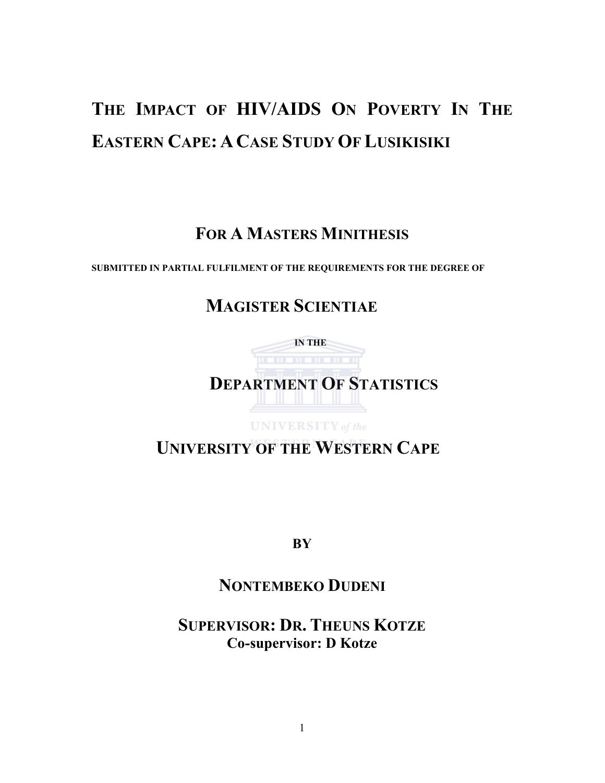# THE IMPACT OF HIV/AIDS ON POVERTY IN THE EASTERN CAPE: ACASE STUDY OF LUSIKISIKI

## FOR A MASTERS MINITHESIS

SUBMITTED IN PARTIAL FULFILMENT OF THE REQUIREMENTS FOR THE DEGREE OF

# MAGISTER SCIENTIAE

 IN THE DEPARTMENT OF STATISTICS

UNIVERSITY of the

UNIVERSITY OF THE WESTERN CAPE

**BY** 

## NONTEMBEKO DUDENI

SUPERVISOR: DR. THEUNS KOTZE Co-supervisor: D Kotze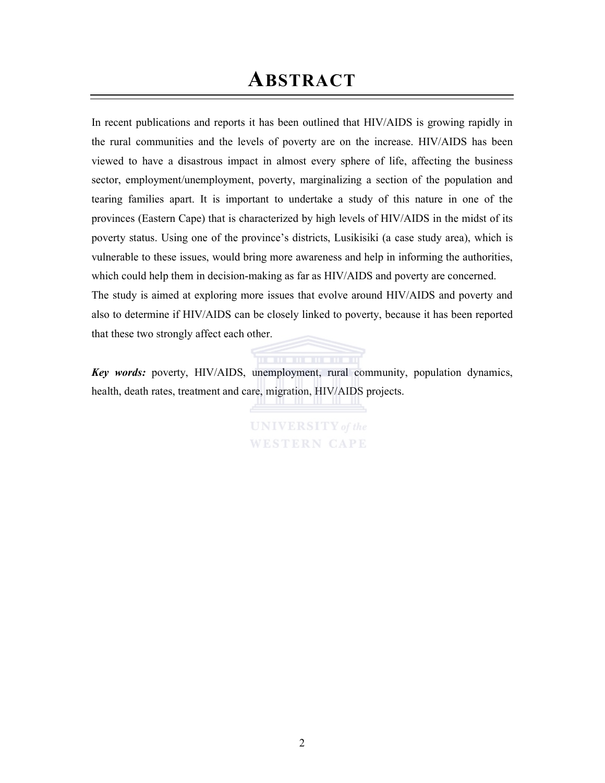# ABSTRACT

In recent publications and reports it has been outlined that HIV/AIDS is growing rapidly in the rural communities and the levels of poverty are on the increase. HIV/AIDS has been viewed to have a disastrous impact in almost every sphere of life, affecting the business sector, employment/unemployment, poverty, marginalizing a section of the population and tearing families apart. It is important to undertake a study of this nature in one of the provinces (Eastern Cape) that is characterized by high levels of HIV/AIDS in the midst of its poverty status. Using one of the province's districts, Lusikisiki (a case study area), which is vulnerable to these issues, would bring more awareness and help in informing the authorities, which could help them in decision-making as far as HIV/AIDS and poverty are concerned. The study is aimed at exploring more issues that evolve around HIV/AIDS and poverty and also to determine if HIV/AIDS can be closely linked to poverty, because it has been reported that these two strongly affect each other.

Key words: poverty, HIV/AIDS, unemployment, rural community, population dynamics, health, death rates, treatment and care, migration, HIV/AIDS projects.

> **UNIVERSITY** of the **WESTERN CAPE**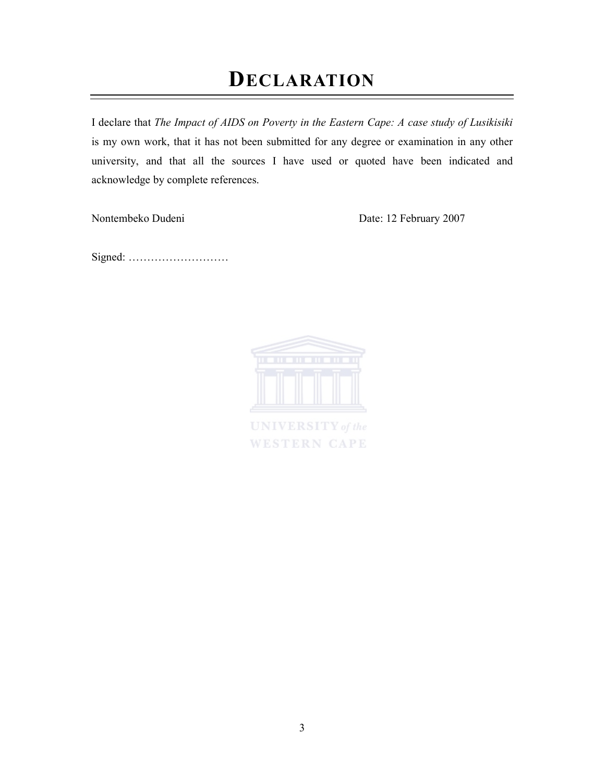# DECLARATION

I declare that The Impact of AIDS on Poverty in the Eastern Cape: A case study of Lusikisiki is my own work, that it has not been submitted for any degree or examination in any other university, and that all the sources I have used or quoted have been indicated and acknowledge by complete references.

Nontembeko Dudeni Date: 12 February 2007

Signed: ………………………



**WESTERN CAPE**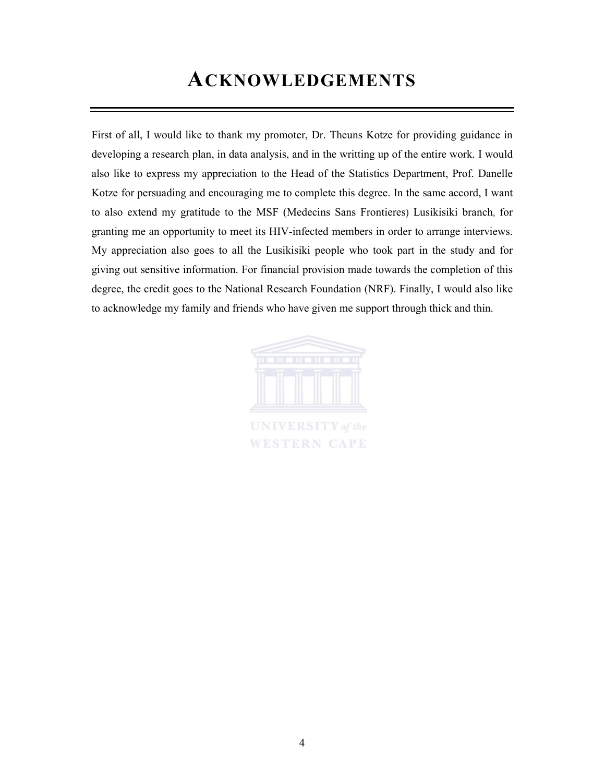# ACKNOWLEDGEMENTS

First of all, I would like to thank my promoter, Dr. Theuns Kotze for providing guidance in developing a research plan, in data analysis, and in the writting up of the entire work. I would also like to express my appreciation to the Head of the Statistics Department, Prof. Danelle Kotze for persuading and encouraging me to complete this degree. In the same accord, I want to also extend my gratitude to the MSF (Medecins Sans Frontieres) Lusikisiki branch, for granting me an opportunity to meet its HIV-infected members in order to arrange interviews. My appreciation also goes to all the Lusikisiki people who took part in the study and for giving out sensitive information. For financial provision made towards the completion of this degree, the credit goes to the National Research Foundation (NRF). Finally, I would also like to acknowledge my family and friends who have given me support through thick and thin.



**WESTERN CAPE**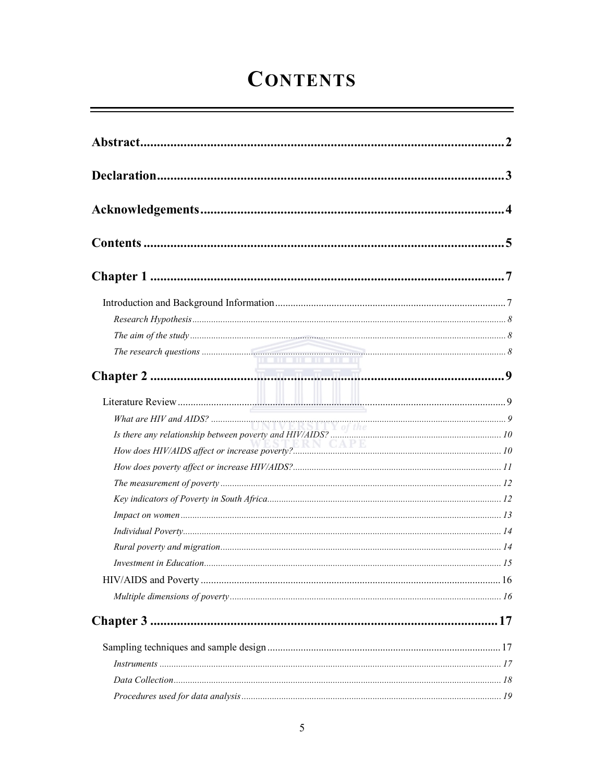# **CONTENTS**

| $\label{thm:main} The \,\, research \,\, questions \,\, \,\, \,\, \,\,$ |  |
|-------------------------------------------------------------------------|--|
|                                                                         |  |
|                                                                         |  |
|                                                                         |  |
|                                                                         |  |
|                                                                         |  |
|                                                                         |  |
|                                                                         |  |
|                                                                         |  |
|                                                                         |  |
|                                                                         |  |
|                                                                         |  |
|                                                                         |  |
|                                                                         |  |
|                                                                         |  |
|                                                                         |  |
|                                                                         |  |
|                                                                         |  |
|                                                                         |  |
|                                                                         |  |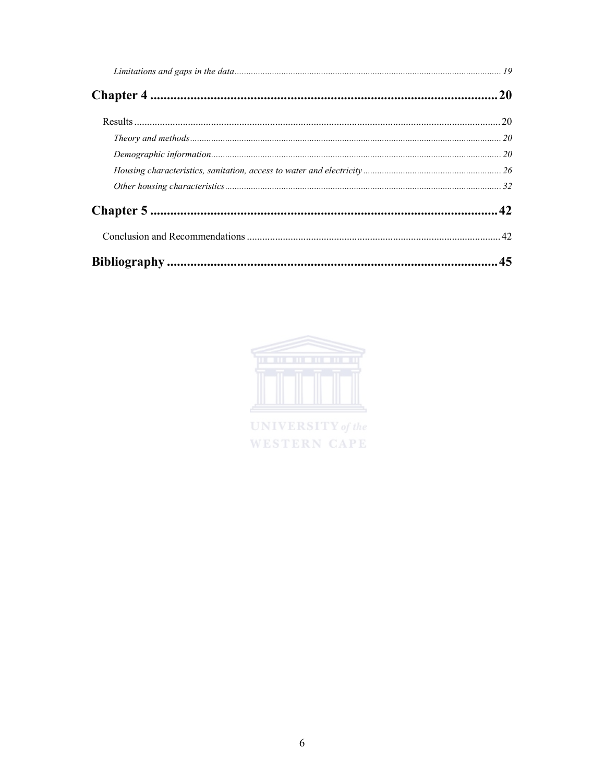| 20 |
|----|
|    |
|    |
|    |
|    |
|    |
|    |
|    |
| 45 |

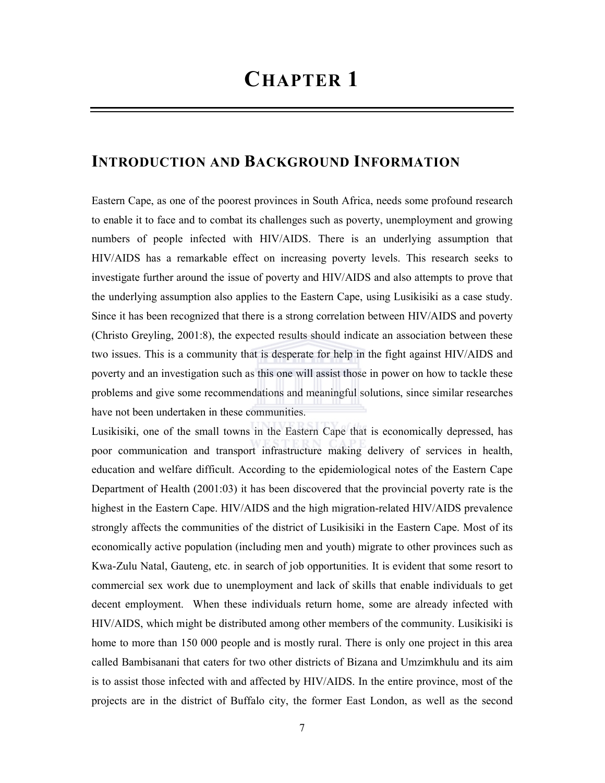## INTRODUCTION AND BACKGROUND INFORMATION

Eastern Cape, as one of the poorest provinces in South Africa, needs some profound research to enable it to face and to combat its challenges such as poverty, unemployment and growing numbers of people infected with HIV/AIDS. There is an underlying assumption that HIV/AIDS has a remarkable effect on increasing poverty levels. This research seeks to investigate further around the issue of poverty and HIV/AIDS and also attempts to prove that the underlying assumption also applies to the Eastern Cape, using Lusikisiki as a case study. Since it has been recognized that there is a strong correlation between HIV/AIDS and poverty (Christo Greyling, 2001:8), the expected results should indicate an association between these two issues. This is a community that is desperate for help in the fight against HIV/AIDS and poverty and an investigation such as this one will assist those in power on how to tackle these problems and give some recommendations and meaningful solutions, since similar researches have not been undertaken in these communities.

Lusikisiki, one of the small towns in the Eastern Cape that is economically depressed, has poor communication and transport infrastructure making delivery of services in health, education and welfare difficult. According to the epidemiological notes of the Eastern Cape Department of Health (2001:03) it has been discovered that the provincial poverty rate is the highest in the Eastern Cape. HIV/AIDS and the high migration-related HIV/AIDS prevalence strongly affects the communities of the district of Lusikisiki in the Eastern Cape. Most of its economically active population (including men and youth) migrate to other provinces such as Kwa-Zulu Natal, Gauteng, etc. in search of job opportunities. It is evident that some resort to commercial sex work due to unemployment and lack of skills that enable individuals to get decent employment. When these individuals return home, some are already infected with HIV/AIDS, which might be distributed among other members of the community. Lusikisiki is home to more than 150 000 people and is mostly rural. There is only one project in this area called Bambisanani that caters for two other districts of Bizana and Umzimkhulu and its aim is to assist those infected with and affected by HIV/AIDS. In the entire province, most of the projects are in the district of Buffalo city, the former East London, as well as the second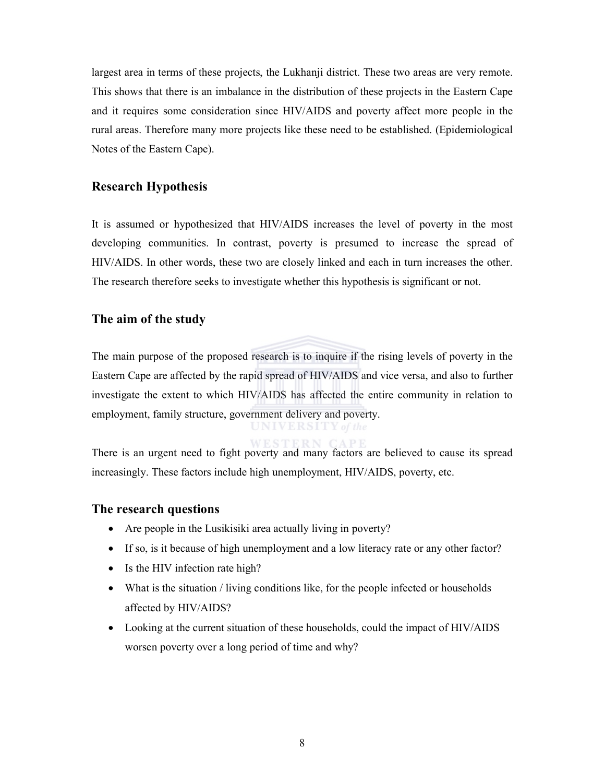largest area in terms of these projects, the Lukhanji district. These two areas are very remote. This shows that there is an imbalance in the distribution of these projects in the Eastern Cape and it requires some consideration since HIV/AIDS and poverty affect more people in the rural areas. Therefore many more projects like these need to be established. (Epidemiological Notes of the Eastern Cape).

#### Research Hypothesis

It is assumed or hypothesized that HIV/AIDS increases the level of poverty in the most developing communities. In contrast, poverty is presumed to increase the spread of HIV/AIDS. In other words, these two are closely linked and each in turn increases the other. The research therefore seeks to investigate whether this hypothesis is significant or not.

#### The aim of the study

The main purpose of the proposed research is to inquire if the rising levels of poverty in the Eastern Cape are affected by the rapid spread of HIV/AIDS and vice versa, and also to further investigate the extent to which HIV/AIDS has affected the entire community in relation to employment, family structure, government delivery and poverty.

There is an urgent need to fight poverty and many factors are believed to cause its spread increasingly. These factors include high unemployment, HIV/AIDS, poverty, etc.

#### The research questions

- Are people in the Lusikisiki area actually living in poverty?
- If so, is it because of high unemployment and a low literacy rate or any other factor?
- Is the HIV infection rate high?
- What is the situation / living conditions like, for the people infected or households affected by HIV/AIDS?
- Looking at the current situation of these households, could the impact of HIV/AIDS worsen poverty over a long period of time and why?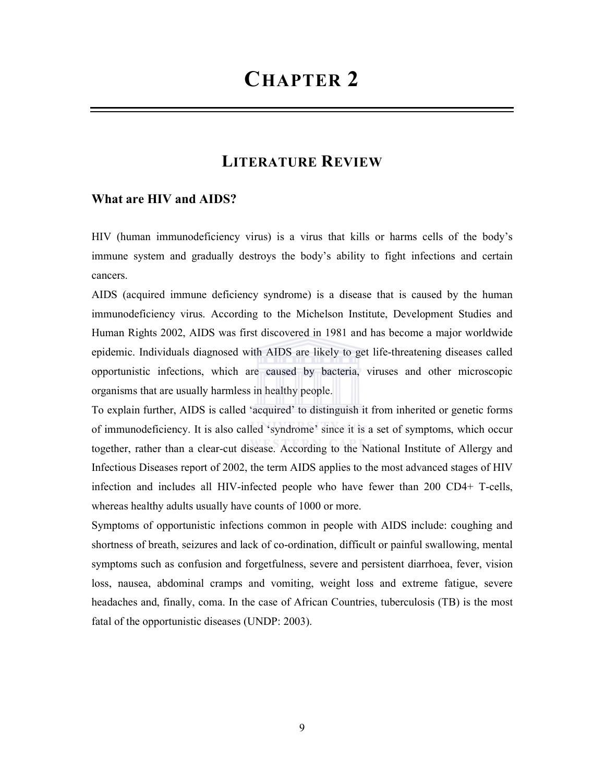## LITERATURE REVIEW

#### What are HIV and AIDS?

HIV (human immunodeficiency virus) is a virus that kills or harms cells of the body's immune system and gradually destroys the body's ability to fight infections and certain cancers.

AIDS (acquired immune deficiency syndrome) is a disease that is caused by the human immunodeficiency virus. According to the Michelson Institute, Development Studies and Human Rights 2002, AIDS was first discovered in 1981 and has become a major worldwide epidemic. Individuals diagnosed with AIDS are likely to get life-threatening diseases called opportunistic infections, which are caused by bacteria, viruses and other microscopic organisms that are usually harmless in healthy people.

To explain further, AIDS is called 'acquired' to distinguish it from inherited or genetic forms of immunodeficiency. It is also called 'syndrome' since it is a set of symptoms, which occur together, rather than a clear-cut disease. According to the National Institute of Allergy and Infectious Diseases report of 2002, the term AIDS applies to the most advanced stages of HIV infection and includes all HIV-infected people who have fewer than 200 CD4+ T-cells, whereas healthy adults usually have counts of 1000 or more.

Symptoms of opportunistic infections common in people with AIDS include: coughing and shortness of breath, seizures and lack of co-ordination, difficult or painful swallowing, mental symptoms such as confusion and forgetfulness, severe and persistent diarrhoea, fever, vision loss, nausea, abdominal cramps and vomiting, weight loss and extreme fatigue, severe headaches and, finally, coma. In the case of African Countries, tuberculosis (TB) is the most fatal of the opportunistic diseases (UNDP: 2003).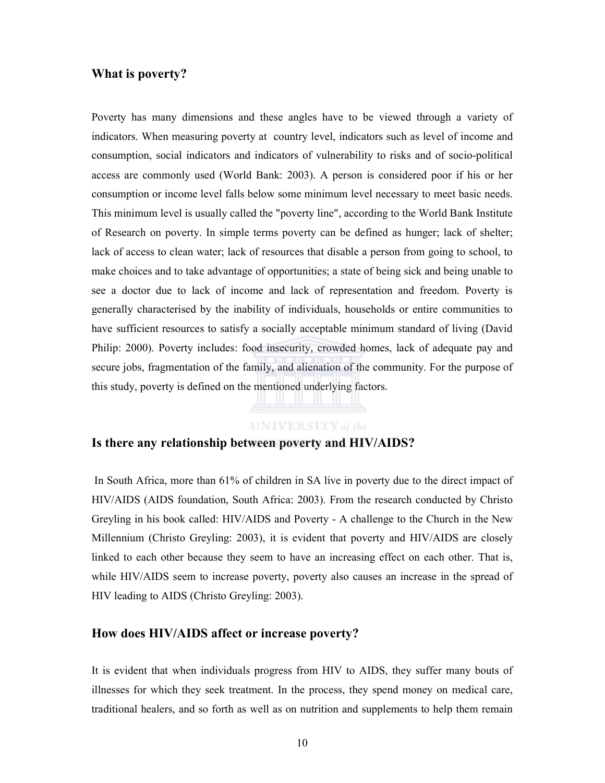#### What is poverty?

Poverty has many dimensions and these angles have to be viewed through a variety of indicators. When measuring poverty at country level, indicators such as level of income and consumption, social indicators and indicators of vulnerability to risks and of socio-political access are commonly used (World Bank: 2003). A person is considered poor if his or her consumption or income level falls below some minimum level necessary to meet basic needs. This minimum level is usually called the "poverty line", according to the World Bank Institute of Research on poverty. In simple terms poverty can be defined as hunger; lack of shelter; lack of access to clean water; lack of resources that disable a person from going to school, to make choices and to take advantage of opportunities; a state of being sick and being unable to see a doctor due to lack of income and lack of representation and freedom. Poverty is generally characterised by the inability of individuals, households or entire communities to have sufficient resources to satisfy a socially acceptable minimum standard of living (David Philip: 2000). Poverty includes: food insecurity, crowded homes, lack of adequate pay and secure jobs, fragmentation of the family, and alienation of the community. For the purpose of this study, poverty is defined on the mentioned underlying factors.

#### **UNIVERSITY** of the

#### Is there any relationship between poverty and HIV/AIDS?

 In South Africa, more than 61% of children in SA live in poverty due to the direct impact of HIV/AIDS (AIDS foundation, South Africa: 2003). From the research conducted by Christo Greyling in his book called: HIV/AIDS and Poverty - A challenge to the Church in the New Millennium (Christo Greyling: 2003), it is evident that poverty and HIV/AIDS are closely linked to each other because they seem to have an increasing effect on each other. That is, while HIV/AIDS seem to increase poverty, poverty also causes an increase in the spread of HIV leading to AIDS (Christo Greyling: 2003).

#### How does HIV/AIDS affect or increase poverty?

It is evident that when individuals progress from HIV to AIDS, they suffer many bouts of illnesses for which they seek treatment. In the process, they spend money on medical care, traditional healers, and so forth as well as on nutrition and supplements to help them remain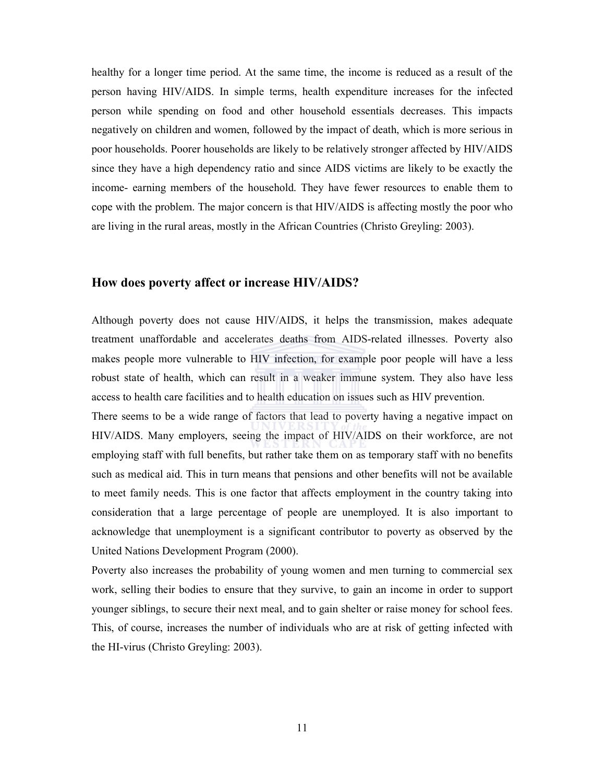healthy for a longer time period. At the same time, the income is reduced as a result of the person having HIV/AIDS. In simple terms, health expenditure increases for the infected person while spending on food and other household essentials decreases. This impacts negatively on children and women, followed by the impact of death, which is more serious in poor households. Poorer households are likely to be relatively stronger affected by HIV/AIDS since they have a high dependency ratio and since AIDS victims are likely to be exactly the income- earning members of the household. They have fewer resources to enable them to cope with the problem. The major concern is that HIV/AIDS is affecting mostly the poor who are living in the rural areas, mostly in the African Countries (Christo Greyling: 2003).

#### How does poverty affect or increase HIV/AIDS?

Although poverty does not cause HIV/AIDS, it helps the transmission, makes adequate treatment unaffordable and accelerates deaths from AIDS-related illnesses. Poverty also makes people more vulnerable to HIV infection, for example poor people will have a less robust state of health, which can result in a weaker immune system. They also have less access to health care facilities and to health education on issues such as HIV prevention.

There seems to be a wide range of factors that lead to poverty having a negative impact on HIV/AIDS. Many employers, seeing the impact of HIV/AIDS on their workforce, are not employing staff with full benefits, but rather take them on as temporary staff with no benefits such as medical aid. This in turn means that pensions and other benefits will not be available to meet family needs. This is one factor that affects employment in the country taking into consideration that a large percentage of people are unemployed. It is also important to acknowledge that unemployment is a significant contributor to poverty as observed by the United Nations Development Program (2000).

Poverty also increases the probability of young women and men turning to commercial sex work, selling their bodies to ensure that they survive, to gain an income in order to support younger siblings, to secure their next meal, and to gain shelter or raise money for school fees. This, of course, increases the number of individuals who are at risk of getting infected with the HI-virus (Christo Greyling: 2003).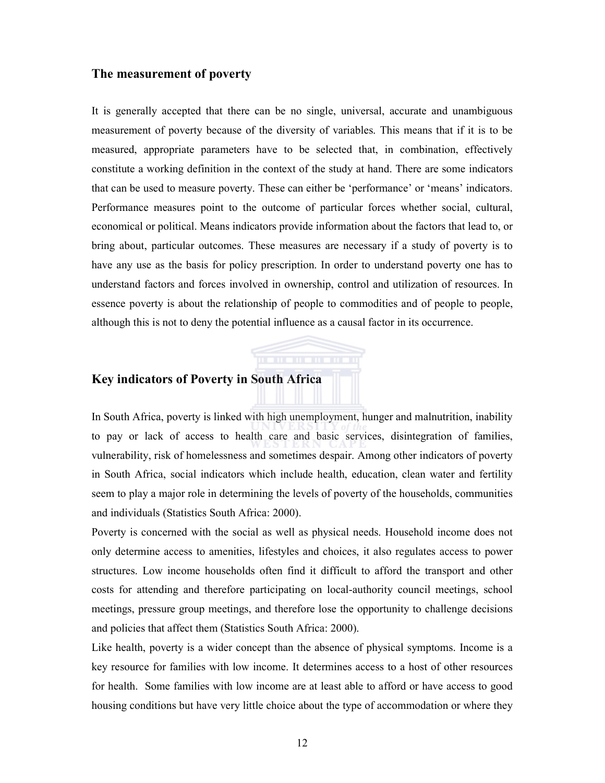#### The measurement of poverty

It is generally accepted that there can be no single, universal, accurate and unambiguous measurement of poverty because of the diversity of variables. This means that if it is to be measured, appropriate parameters have to be selected that, in combination, effectively constitute a working definition in the context of the study at hand. There are some indicators that can be used to measure poverty. These can either be 'performance' or 'means' indicators. Performance measures point to the outcome of particular forces whether social, cultural, economical or political. Means indicators provide information about the factors that lead to, or bring about, particular outcomes. These measures are necessary if a study of poverty is to have any use as the basis for policy prescription. In order to understand poverty one has to understand factors and forces involved in ownership, control and utilization of resources. In essence poverty is about the relationship of people to commodities and of people to people, although this is not to deny the potential influence as a causal factor in its occurrence.

### Key indicators of Poverty in South Africa

In South Africa, poverty is linked with high unemployment, hunger and malnutrition, inability to pay or lack of access to health care and basic services, disintegration of families, vulnerability, risk of homelessness and sometimes despair. Among other indicators of poverty in South Africa, social indicators which include health, education, clean water and fertility seem to play a major role in determining the levels of poverty of the households, communities and individuals (Statistics South Africa: 2000).

Poverty is concerned with the social as well as physical needs. Household income does not only determine access to amenities, lifestyles and choices, it also regulates access to power structures. Low income households often find it difficult to afford the transport and other costs for attending and therefore participating on local-authority council meetings, school meetings, pressure group meetings, and therefore lose the opportunity to challenge decisions and policies that affect them (Statistics South Africa: 2000).

Like health, poverty is a wider concept than the absence of physical symptoms. Income is a key resource for families with low income. It determines access to a host of other resources for health. Some families with low income are at least able to afford or have access to good housing conditions but have very little choice about the type of accommodation or where they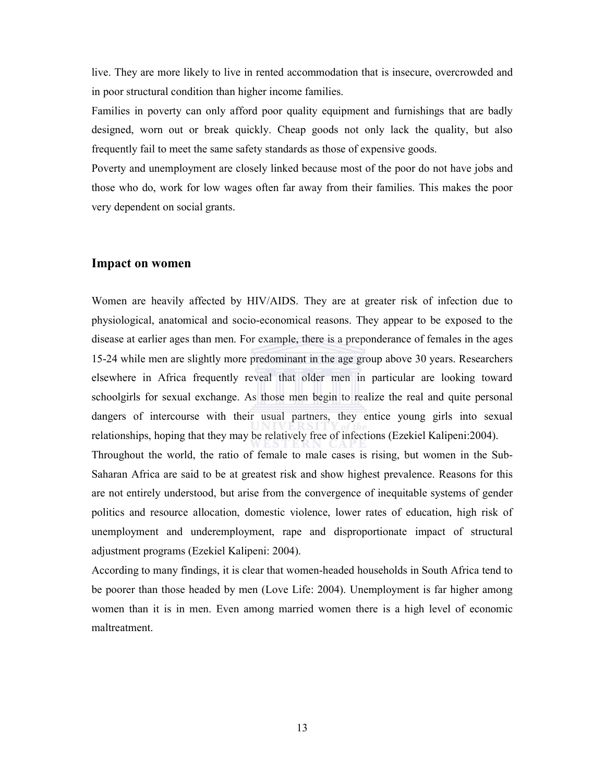live. They are more likely to live in rented accommodation that is insecure, overcrowded and in poor structural condition than higher income families.

Families in poverty can only afford poor quality equipment and furnishings that are badly designed, worn out or break quickly. Cheap goods not only lack the quality, but also frequently fail to meet the same safety standards as those of expensive goods.

Poverty and unemployment are closely linked because most of the poor do not have jobs and those who do, work for low wages often far away from their families. This makes the poor very dependent on social grants.

#### Impact on women

Women are heavily affected by HIV/AIDS. They are at greater risk of infection due to physiological, anatomical and socio-economical reasons. They appear to be exposed to the disease at earlier ages than men. For example, there is a preponderance of females in the ages 15-24 while men are slightly more predominant in the age group above 30 years. Researchers elsewhere in Africa frequently reveal that older men in particular are looking toward schoolgirls for sexual exchange. As those men begin to realize the real and quite personal dangers of intercourse with their usual partners, they entice young girls into sexual relationships, hoping that they may be relatively free of infections (Ezekiel Kalipeni:2004). Throughout the world, the ratio of female to male cases is rising, but women in the Sub-Saharan Africa are said to be at greatest risk and show highest prevalence. Reasons for this are not entirely understood, but arise from the convergence of inequitable systems of gender politics and resource allocation, domestic violence, lower rates of education, high risk of unemployment and underemployment, rape and disproportionate impact of structural adjustment programs (Ezekiel Kalipeni: 2004).

According to many findings, it is clear that women-headed households in South Africa tend to be poorer than those headed by men (Love Life: 2004). Unemployment is far higher among women than it is in men. Even among married women there is a high level of economic maltreatment.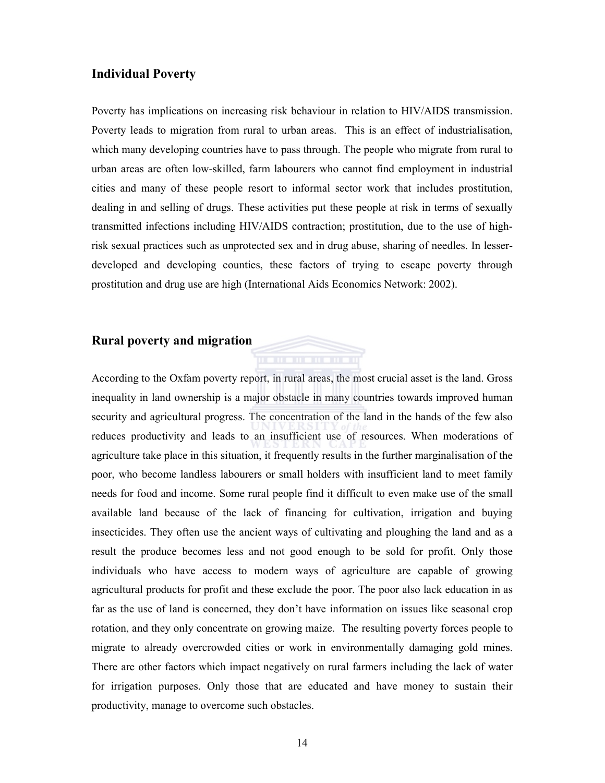#### Individual Poverty

Poverty has implications on increasing risk behaviour in relation to HIV/AIDS transmission. Poverty leads to migration from rural to urban areas. This is an effect of industrialisation, which many developing countries have to pass through. The people who migrate from rural to urban areas are often low-skilled, farm labourers who cannot find employment in industrial cities and many of these people resort to informal sector work that includes prostitution, dealing in and selling of drugs. These activities put these people at risk in terms of sexually transmitted infections including HIV/AIDS contraction; prostitution, due to the use of highrisk sexual practices such as unprotected sex and in drug abuse, sharing of needles. In lesserdeveloped and developing counties, these factors of trying to escape poverty through prostitution and drug use are high (International Aids Economics Network: 2002).

#### Rural poverty and migration

According to the Oxfam poverty report, in rural areas, the most crucial asset is the land. Gross inequality in land ownership is a major obstacle in many countries towards improved human security and agricultural progress. The concentration of the land in the hands of the few also reduces productivity and leads to an insufficient use of resources. When moderations of agriculture take place in this situation, it frequently results in the further marginalisation of the poor, who become landless labourers or small holders with insufficient land to meet family needs for food and income. Some rural people find it difficult to even make use of the small available land because of the lack of financing for cultivation, irrigation and buying insecticides. They often use the ancient ways of cultivating and ploughing the land and as a result the produce becomes less and not good enough to be sold for profit. Only those individuals who have access to modern ways of agriculture are capable of growing agricultural products for profit and these exclude the poor. The poor also lack education in as far as the use of land is concerned, they don't have information on issues like seasonal crop rotation, and they only concentrate on growing maize. The resulting poverty forces people to migrate to already overcrowded cities or work in environmentally damaging gold mines. There are other factors which impact negatively on rural farmers including the lack of water for irrigation purposes. Only those that are educated and have money to sustain their productivity, manage to overcome such obstacles.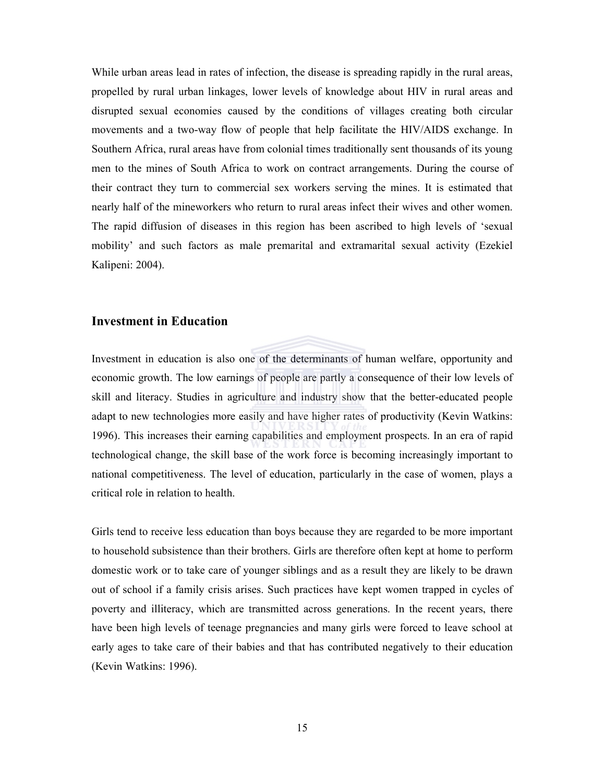While urban areas lead in rates of infection, the disease is spreading rapidly in the rural areas, propelled by rural urban linkages, lower levels of knowledge about HIV in rural areas and disrupted sexual economies caused by the conditions of villages creating both circular movements and a two-way flow of people that help facilitate the HIV/AIDS exchange. In Southern Africa, rural areas have from colonial times traditionally sent thousands of its young men to the mines of South Africa to work on contract arrangements. During the course of their contract they turn to commercial sex workers serving the mines. It is estimated that nearly half of the mineworkers who return to rural areas infect their wives and other women. The rapid diffusion of diseases in this region has been ascribed to high levels of 'sexual mobility' and such factors as male premarital and extramarital sexual activity (Ezekiel Kalipeni: 2004).

#### Investment in Education

Investment in education is also one of the determinants of human welfare, opportunity and economic growth. The low earnings of people are partly a consequence of their low levels of skill and literacy. Studies in agriculture and industry show that the better-educated people adapt to new technologies more easily and have higher rates of productivity (Kevin Watkins: 1996). This increases their earning capabilities and employment prospects. In an era of rapid technological change, the skill base of the work force is becoming increasingly important to national competitiveness. The level of education, particularly in the case of women, plays a critical role in relation to health.

Girls tend to receive less education than boys because they are regarded to be more important to household subsistence than their brothers. Girls are therefore often kept at home to perform domestic work or to take care of younger siblings and as a result they are likely to be drawn out of school if a family crisis arises. Such practices have kept women trapped in cycles of poverty and illiteracy, which are transmitted across generations. In the recent years, there have been high levels of teenage pregnancies and many girls were forced to leave school at early ages to take care of their babies and that has contributed negatively to their education (Kevin Watkins: 1996).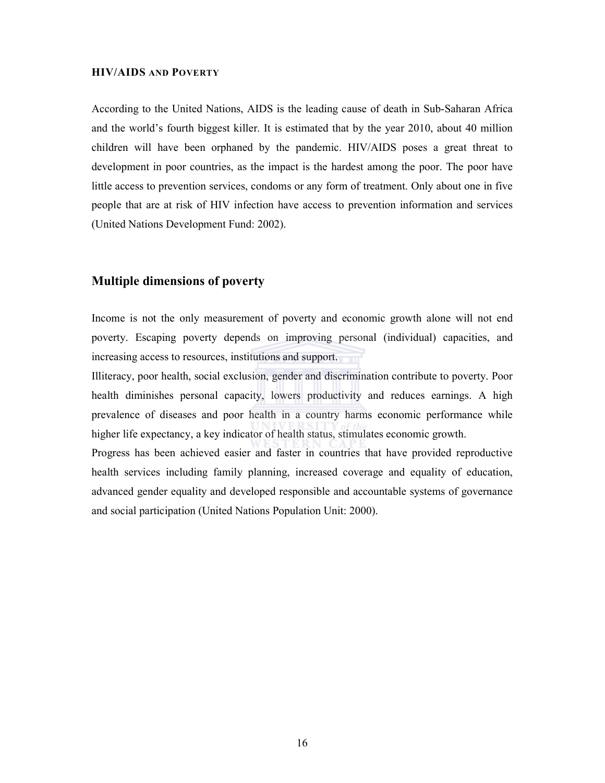#### HIV/AIDS AND POVERTY

According to the United Nations, AIDS is the leading cause of death in Sub-Saharan Africa and the world's fourth biggest killer. It is estimated that by the year 2010, about 40 million children will have been orphaned by the pandemic. HIV/AIDS poses a great threat to development in poor countries, as the impact is the hardest among the poor. The poor have little access to prevention services, condoms or any form of treatment. Only about one in five people that are at risk of HIV infection have access to prevention information and services (United Nations Development Fund: 2002).

#### Multiple dimensions of poverty

Income is not the only measurement of poverty and economic growth alone will not end poverty. Escaping poverty depends on improving personal (individual) capacities, and increasing access to resources, institutions and support.

Illiteracy, poor health, social exclusion, gender and discrimination contribute to poverty. Poor health diminishes personal capacity, lowers productivity and reduces earnings. A high prevalence of diseases and poor health in a country harms economic performance while higher life expectancy, a key indicator of health status, stimulates economic growth.

Progress has been achieved easier and faster in countries that have provided reproductive health services including family planning, increased coverage and equality of education, advanced gender equality and developed responsible and accountable systems of governance and social participation (United Nations Population Unit: 2000).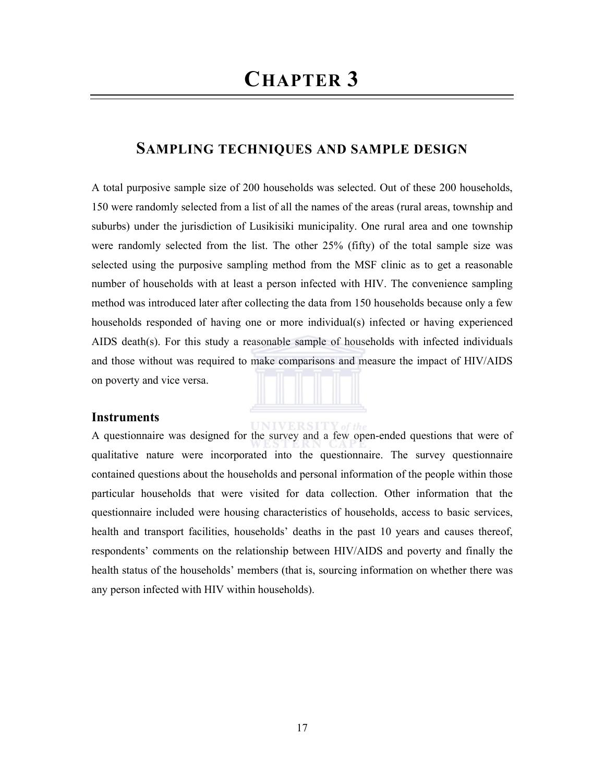## SAMPLING TECHNIQUES AND SAMPLE DESIGN

A total purposive sample size of 200 households was selected. Out of these 200 households, 150 were randomly selected from a list of all the names of the areas (rural areas, township and suburbs) under the jurisdiction of Lusikisiki municipality. One rural area and one township were randomly selected from the list. The other 25% (fifty) of the total sample size was selected using the purposive sampling method from the MSF clinic as to get a reasonable number of households with at least a person infected with HIV. The convenience sampling method was introduced later after collecting the data from 150 households because only a few households responded of having one or more individual(s) infected or having experienced AIDS death(s). For this study a reasonable sample of households with infected individuals and those without was required to make comparisons and measure the impact of HIV/AIDS on poverty and vice versa.

#### **Instruments**

**INIVERSITY** A questionnaire was designed for the survey and a few open-ended questions that were of qualitative nature were incorporated into the questionnaire. The survey questionnaire contained questions about the households and personal information of the people within those particular households that were visited for data collection. Other information that the questionnaire included were housing characteristics of households, access to basic services, health and transport facilities, households' deaths in the past 10 years and causes thereof, respondents' comments on the relationship between HIV/AIDS and poverty and finally the health status of the households' members (that is, sourcing information on whether there was any person infected with HIV within households).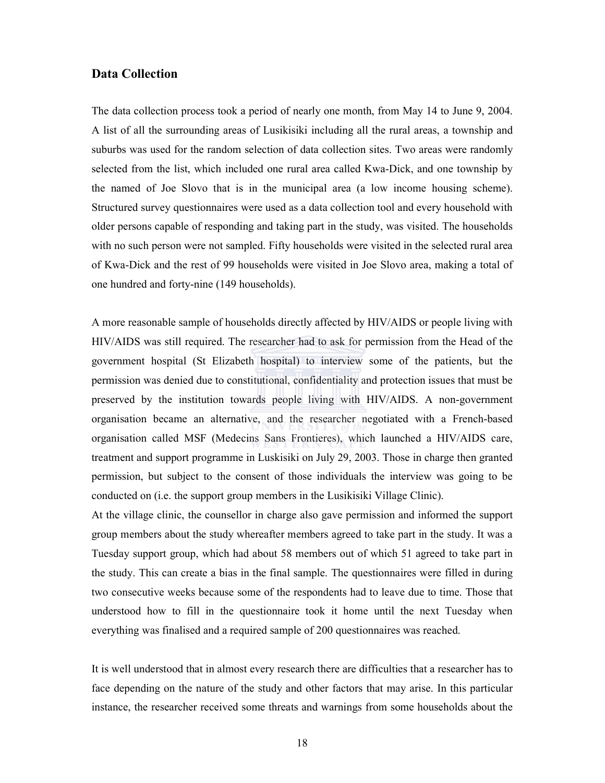#### Data Collection

The data collection process took a period of nearly one month, from May 14 to June 9, 2004. A list of all the surrounding areas of Lusikisiki including all the rural areas, a township and suburbs was used for the random selection of data collection sites. Two areas were randomly selected from the list, which included one rural area called Kwa-Dick, and one township by the named of Joe Slovo that is in the municipal area (a low income housing scheme). Structured survey questionnaires were used as a data collection tool and every household with older persons capable of responding and taking part in the study, was visited. The households with no such person were not sampled. Fifty households were visited in the selected rural area of Kwa-Dick and the rest of 99 households were visited in Joe Slovo area, making a total of one hundred and forty-nine (149 households).

A more reasonable sample of households directly affected by HIV/AIDS or people living with HIV/AIDS was still required. The researcher had to ask for permission from the Head of the government hospital (St Elizabeth hospital) to interview some of the patients, but the permission was denied due to constitutional, confidentiality and protection issues that must be preserved by the institution towards people living with HIV/AIDS. A non-government organisation became an alternative, and the researcher negotiated with a French-based organisation called MSF (Medecins Sans Frontieres), which launched a HIV/AIDS care, treatment and support programme in Luskisiki on July 29, 2003. Those in charge then granted permission, but subject to the consent of those individuals the interview was going to be conducted on (i.e. the support group members in the Lusikisiki Village Clinic).

At the village clinic, the counsellor in charge also gave permission and informed the support group members about the study whereafter members agreed to take part in the study. It was a Tuesday support group, which had about 58 members out of which 51 agreed to take part in the study. This can create a bias in the final sample. The questionnaires were filled in during two consecutive weeks because some of the respondents had to leave due to time. Those that understood how to fill in the questionnaire took it home until the next Tuesday when everything was finalised and a required sample of 200 questionnaires was reached.

It is well understood that in almost every research there are difficulties that a researcher has to face depending on the nature of the study and other factors that may arise. In this particular instance, the researcher received some threats and warnings from some households about the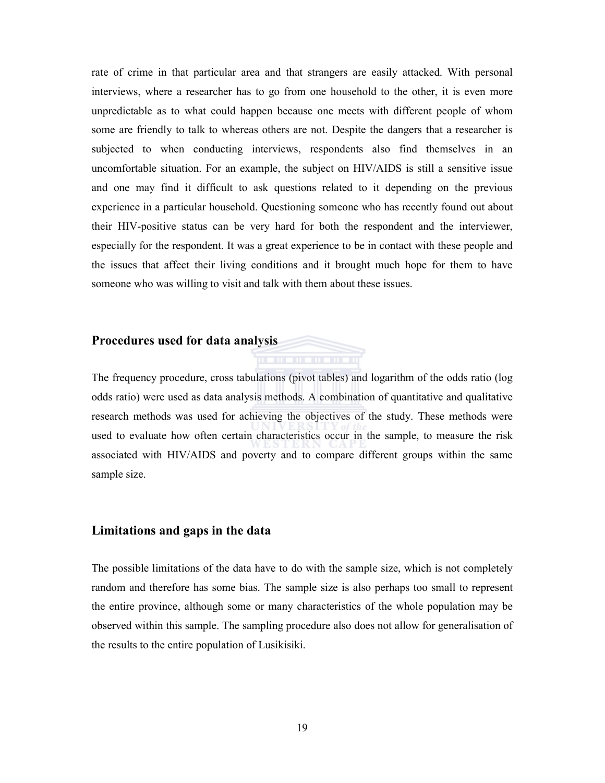rate of crime in that particular area and that strangers are easily attacked. With personal interviews, where a researcher has to go from one household to the other, it is even more unpredictable as to what could happen because one meets with different people of whom some are friendly to talk to whereas others are not. Despite the dangers that a researcher is subjected to when conducting interviews, respondents also find themselves in an uncomfortable situation. For an example, the subject on HIV/AIDS is still a sensitive issue and one may find it difficult to ask questions related to it depending on the previous experience in a particular household. Questioning someone who has recently found out about their HIV-positive status can be very hard for both the respondent and the interviewer, especially for the respondent. It was a great experience to be in contact with these people and the issues that affect their living conditions and it brought much hope for them to have someone who was willing to visit and talk with them about these issues.

#### Procedures used for data analysis

The frequency procedure, cross tabulations (pivot tables) and logarithm of the odds ratio (log odds ratio) were used as data analysis methods. A combination of quantitative and qualitative research methods was used for achieving the objectives of the study. These methods were used to evaluate how often certain characteristics occur in the sample, to measure the risk associated with HIV/AIDS and poverty and to compare different groups within the same sample size.

#### Limitations and gaps in the data

The possible limitations of the data have to do with the sample size, which is not completely random and therefore has some bias. The sample size is also perhaps too small to represent the entire province, although some or many characteristics of the whole population may be observed within this sample. The sampling procedure also does not allow for generalisation of the results to the entire population of Lusikisiki.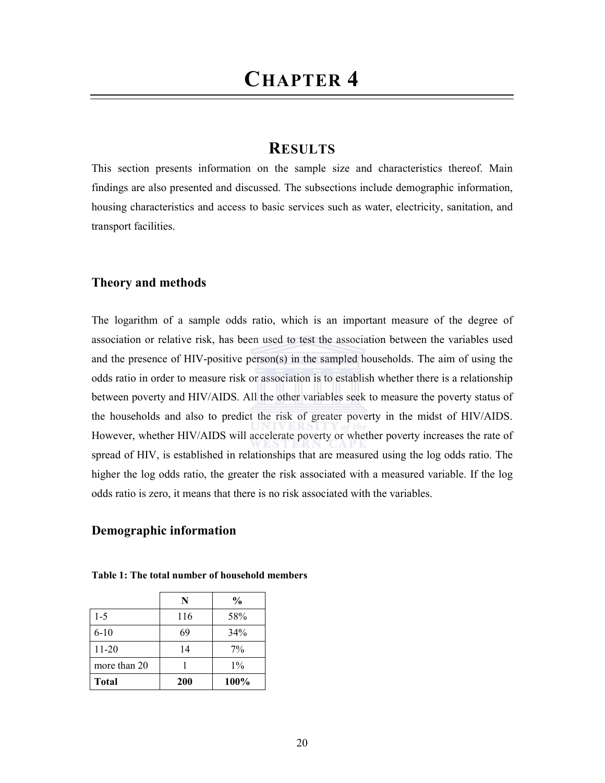## **RESULTS**

This section presents information on the sample size and characteristics thereof. Main findings are also presented and discussed. The subsections include demographic information, housing characteristics and access to basic services such as water, electricity, sanitation, and transport facilities.

#### Theory and methods

The logarithm of a sample odds ratio, which is an important measure of the degree of association or relative risk, has been used to test the association between the variables used and the presence of HIV-positive person(s) in the sampled households. The aim of using the odds ratio in order to measure risk or association is to establish whether there is a relationship between poverty and HIV/AIDS. All the other variables seek to measure the poverty status of the households and also to predict the risk of greater poverty in the midst of HIV/AIDS. However, whether HIV/AIDS will accelerate poverty or whether poverty increases the rate of spread of HIV, is established in relationships that are measured using the log odds ratio. The higher the log odds ratio, the greater the risk associated with a measured variable. If the log odds ratio is zero, it means that there is no risk associated with the variables.

#### Demographic information

|              | N          | $\frac{0}{0}$ |
|--------------|------------|---------------|
| $1 - 5$      | 116        | 58%           |
| $6 - 10$     | 69         | 34%           |
| $11 - 20$    | 14         | $7\%$         |
| more than 20 |            | $1\%$         |
| <b>Total</b> | <b>200</b> | 100%          |

Table 1: The total number of household members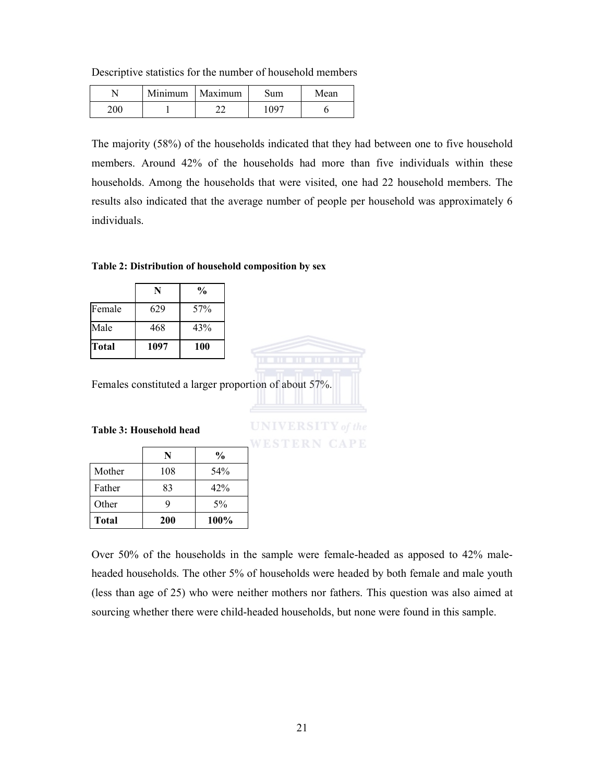Descriptive statistics for the number of household members

|     | Minimum | Maximum | ium | Mean |
|-----|---------|---------|-----|------|
| 200 |         |         | 007 |      |

The majority (58%) of the households indicated that they had between one to five household members. Around 42% of the households had more than five individuals within these households. Among the households that were visited, one had 22 household members. The results also indicated that the average number of people per household was approximately 6 individuals.

#### Table 2: Distribution of household composition by sex

|              |      | $\frac{0}{0}$ |
|--------------|------|---------------|
| Female       | 629  | 57%           |
| Male         | 468  | 43%           |
| <b>Total</b> | 1097 | 100           |

Females constituted a larger proportion of about 57%.

#### Table 3: Household head

|              | N          | $\frac{6}{9}$ |
|--------------|------------|---------------|
| Mother       | 108        | 54%           |
| Father       | 83         | 42%           |
| Other        | y          | $5\%$         |
| <b>Total</b> | <b>200</b> | 100%          |

**UNIVERSITY** of the **WESTERN CAPE** 

Over 50% of the households in the sample were female-headed as apposed to 42% maleheaded households. The other 5% of households were headed by both female and male youth (less than age of 25) who were neither mothers nor fathers. This question was also aimed at sourcing whether there were child-headed households, but none were found in this sample.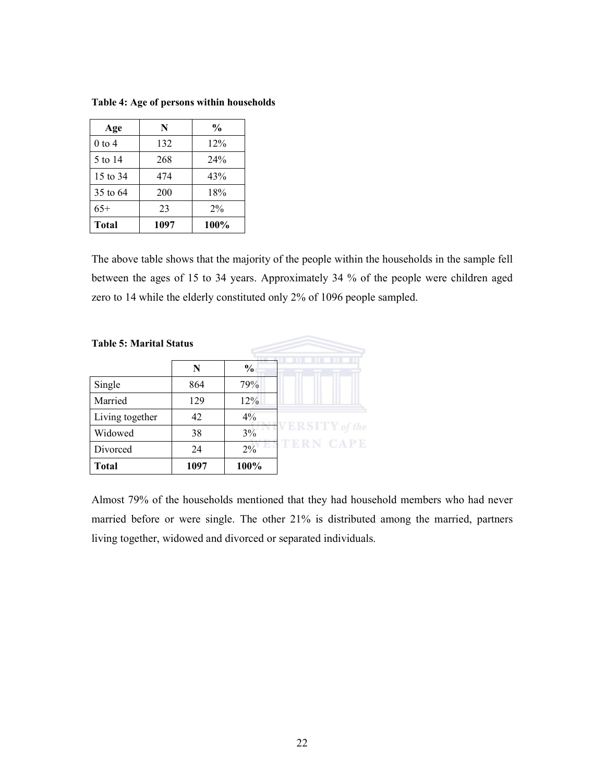| Age          | N    | $\frac{0}{0}$ |
|--------------|------|---------------|
| $0$ to 4     | 132  | 12%           |
| 5 to 14      | 268  | 24%           |
| 15 to 34     | 474  | 43%           |
| 35 to 64     | 200  | 18%           |
| $65+$        | 23   | $2\%$         |
| <b>Total</b> | 1097 | 100%          |

Table 4: Age of persons within households

The above table shows that the majority of the people within the households in the sample fell between the ages of 15 to 34 years. Approximately 34 % of the people were children aged zero to 14 while the elderly constituted only 2% of 1096 people sampled.

| <b>Table 5: Marital Status</b> |      |               |                |
|--------------------------------|------|---------------|----------------|
|                                | N    | $\frac{0}{0}$ |                |
| Single                         | 864  | 79%           |                |
| Married                        | 129  | 12%           |                |
| Living together                | 42   | $4\%$         |                |
| Widowed                        | 38   | 3%            | /ERSITY of the |
| Divorced                       | 24   | 2%            | <b>CAPE</b>    |
| <b>Total</b>                   | 1097 | 100%          |                |

Almost 79% of the households mentioned that they had household members who had never married before or were single. The other 21% is distributed among the married, partners living together, widowed and divorced or separated individuals.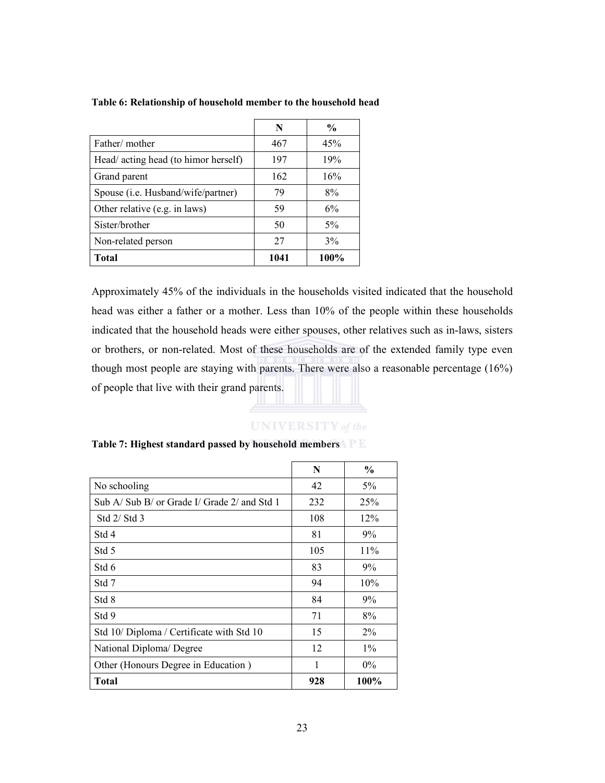|                                            | N    | $\frac{0}{0}$ |
|--------------------------------------------|------|---------------|
| Father/mother                              | 467  | 45%           |
| Head/ acting head (to himor herself)       | 197  | 19%           |
| Grand parent                               | 162  | 16%           |
| Spouse ( <i>i.e.</i> Husband/wife/partner) | 79   | 8%            |
| Other relative (e.g. in laws)              | 59   | 6%            |
| Sister/brother                             | 50   | 5%            |
| Non-related person                         | 27   | 3%            |
| Total                                      | 1041 | 100%          |

#### Table 6: Relationship of household member to the household head

Approximately 45% of the individuals in the households visited indicated that the household head was either a father or a mother. Less than 10% of the people within these households indicated that the household heads were either spouses, other relatives such as in-laws, sisters or brothers, or non-related. Most of these households are of the extended family type even though most people are staying with parents. There were also a reasonable percentage (16%) of people that live with their grand parents.

#### **UNIVERSITY** of the

|                                              | N   | $\frac{6}{6}$ |
|----------------------------------------------|-----|---------------|
| No schooling                                 | 42  | $5\%$         |
| Sub A/ Sub B/ or Grade I/ Grade 2/ and Std 1 | 232 | 25%           |
| Std $2/$ Std 3                               | 108 | 12%           |
| Std 4                                        | 81  | $9\%$         |
| Std 5                                        | 105 | 11%           |
| Std 6                                        | 83  | $9\%$         |
| Std 7                                        | 94  | 10%           |
| Std 8                                        | 84  | 9%            |
| Std 9                                        | 71  | 8%            |
| Std 10/ Diploma / Certificate with Std 10    | 15  | $2\%$         |
| National Diploma/ Degree                     | 12  | $1\%$         |
| Other (Honours Degree in Education)          | 1   | $0\%$         |
| <b>Total</b>                                 | 928 | 100%          |

#### Table 7: Highest standard passed by household members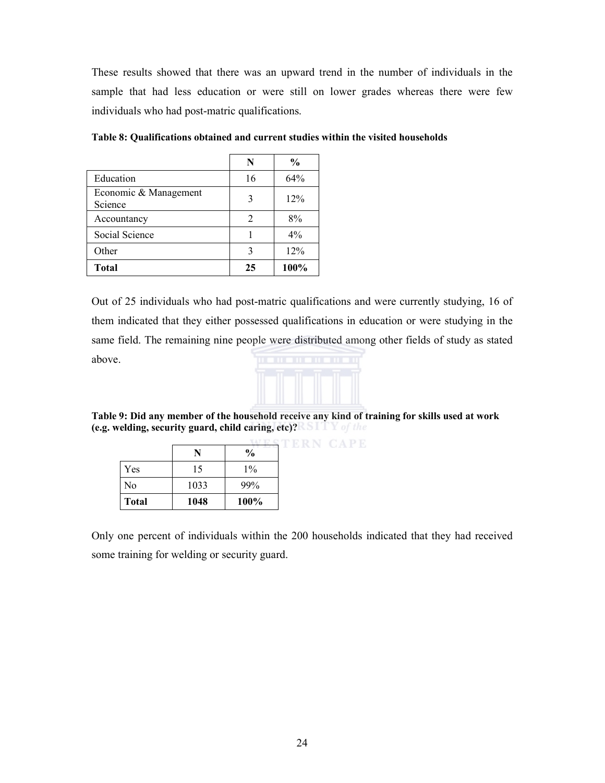These results showed that there was an upward trend in the number of individuals in the sample that had less education or were still on lower grades whereas there were few individuals who had post-matric qualifications.

|                                  | N  | $\frac{0}{0}$ |
|----------------------------------|----|---------------|
| Education                        | 16 | 64%           |
| Economic & Management<br>Science | 3  | 12%           |
| Accountancy                      | 2  | 8%            |
| Social Science                   |    | $4\%$         |
| Other                            | 3  | 12%           |
| <b>Total</b>                     | 25 | 100%          |

Table 8: Qualifications obtained and current studies within the visited households

Out of 25 individuals who had post-matric qualifications and were currently studying, 16 of them indicated that they either possessed qualifications in education or were studying in the same field. The remaining nine people were distributed among other fields of study as stated above.



**CAPE** 

Table 9: Did any member of the household receive any kind of training for skills used at work (e.g. welding, security guard, child caring, etc)?

|              |      | $\frac{0}{0}$ |  |
|--------------|------|---------------|--|
| Yes          | 15   | $1\%$         |  |
| No           | 1033 | 99%           |  |
| <b>Total</b> | 1048 | 100%          |  |

Only one percent of individuals within the 200 households indicated that they had received some training for welding or security guard.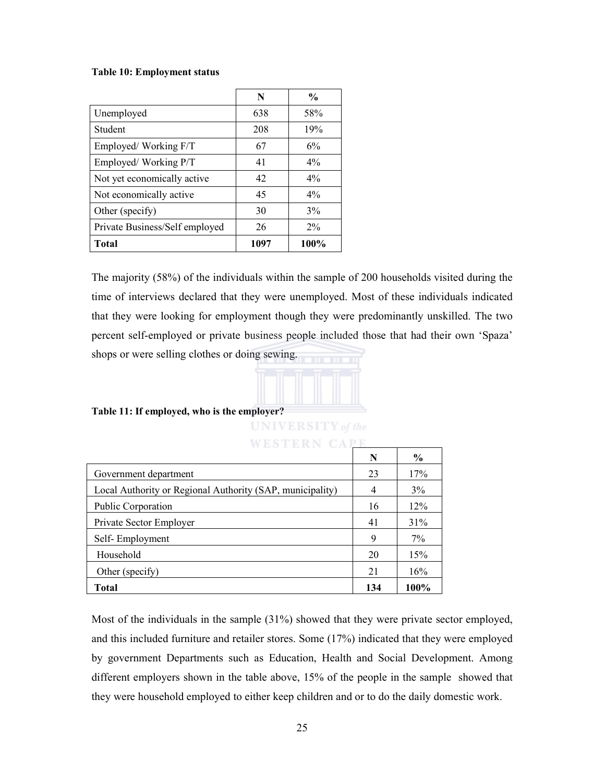#### Table 10: Employment status

|                                | N    | $\frac{0}{0}$ |
|--------------------------------|------|---------------|
| Unemployed                     | 638  | 58%           |
| Student                        | 208  | 19%           |
| Employed/Working F/T           | 67   | 6%            |
| Employed/Working P/T           | 41   | $4\%$         |
| Not yet economically active    | 42   | $4\%$         |
| Not economically active        | 45   | $4\%$         |
| Other (specify)                | 30   | 3%            |
| Private Business/Self employed | 26   | $2\%$         |
| <b>Total</b>                   | 1097 | 100%          |

The majority (58%) of the individuals within the sample of 200 households visited during the time of interviews declared that they were unemployed. Most of these individuals indicated that they were looking for employment though they were predominantly unskilled. The two percent self-employed or private business people included those that had their own 'Spaza' shops or were selling clothes or doing sewing.



#### Table 11: If employed, who is the employer?

| <b>UNIVERSITY</b> of the |  |  |  |
|--------------------------|--|--|--|
|                          |  |  |  |
|                          |  |  |  |
|                          |  |  |  |

| WESTERN                                                   |     |               |
|-----------------------------------------------------------|-----|---------------|
|                                                           | N   | $\frac{6}{9}$ |
| Government department                                     | 23  | 17%           |
| Local Authority or Regional Authority (SAP, municipality) | 4   | $3\%$         |
| Public Corporation                                        | 16  | 12%           |
| Private Sector Employer                                   | 41  | 31%           |
| Self-Employment                                           | 9   | $7\%$         |
| Household                                                 | 20  | 15%           |
| Other (specify)                                           | 21  | 16%           |
| Total                                                     | 134 | 100%          |

Most of the individuals in the sample (31%) showed that they were private sector employed, and this included furniture and retailer stores. Some (17%) indicated that they were employed by government Departments such as Education, Health and Social Development. Among different employers shown in the table above, 15% of the people in the sample showed that they were household employed to either keep children and or to do the daily domestic work.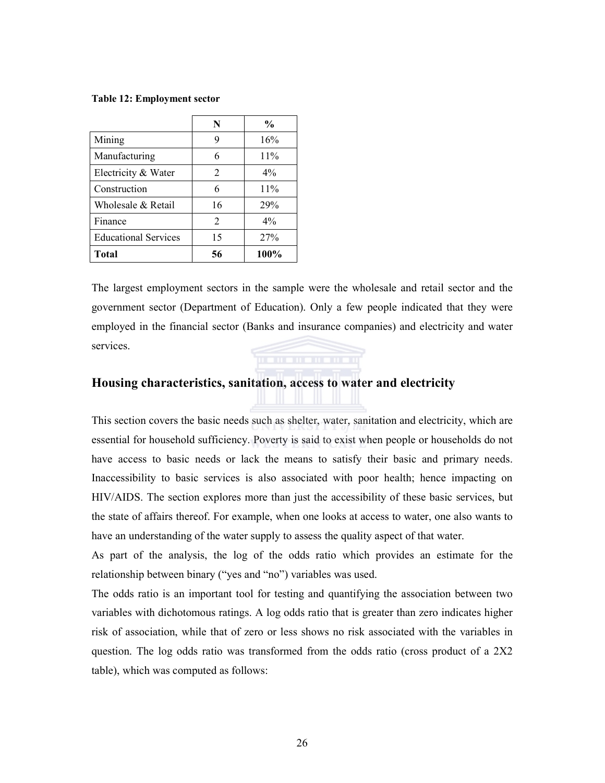#### Table 12: Employment sector

|                             | N  | $\frac{6}{9}$ |
|-----------------------------|----|---------------|
| Mining                      | 9  | 16%           |
| Manufacturing               | 6  | 11%           |
| Electricity & Water         | 2  | 4%            |
| Construction                | 6  | 11%           |
| Wholesale & Retail          | 16 | 29%           |
| Finance                     | 2  | $4\%$         |
| <b>Educational Services</b> | 15 | 27%           |
| <b>Total</b>                | 56 | 100%          |

The largest employment sectors in the sample were the wholesale and retail sector and the government sector (Department of Education). Only a few people indicated that they were employed in the financial sector (Banks and insurance companies) and electricity and water services.

#### Housing characteristics, sanitation, access to water and electricity

This section covers the basic needs such as shelter, water, sanitation and electricity, which are essential for household sufficiency. Poverty is said to exist when people or households do not have access to basic needs or lack the means to satisfy their basic and primary needs. Inaccessibility to basic services is also associated with poor health; hence impacting on HIV/AIDS. The section explores more than just the accessibility of these basic services, but the state of affairs thereof. For example, when one looks at access to water, one also wants to have an understanding of the water supply to assess the quality aspect of that water.

As part of the analysis, the log of the odds ratio which provides an estimate for the relationship between binary ("yes and "no") variables was used.

The odds ratio is an important tool for testing and quantifying the association between two variables with dichotomous ratings. A log odds ratio that is greater than zero indicates higher risk of association, while that of zero or less shows no risk associated with the variables in question. The log odds ratio was transformed from the odds ratio (cross product of a 2X2 table), which was computed as follows: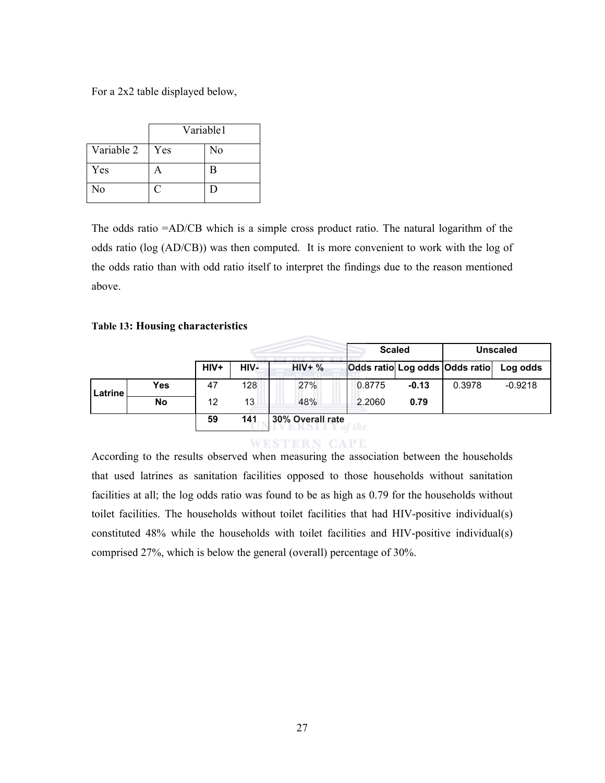For a 2x2 table displayed below,

|            | Variable1 |    |
|------------|-----------|----|
| Variable 2 | Yes       | No |
| Yes        | А         | B  |
| No         |           | E  |

The odds ratio =AD/CB which is a simple cross product ratio. The natural logarithm of the odds ratio (log (AD/CB)) was then computed. It is more convenient to work with the log of the odds ratio than with odd ratio itself to interpret the findings due to the reason mentioned above.

#### Table 13: Housing characteristics

|         |            |                   |      |                  | <b>Scaled</b> |         | <b>Unscaled</b>                |           |
|---------|------------|-------------------|------|------------------|---------------|---------|--------------------------------|-----------|
|         |            | $HIV+$            | HIV- | $HIV+$ %         |               |         | Odds ratio Log odds Odds ratio | Log odds  |
| Latrine | <b>Yes</b> | 47                | 128  | 27%              | 0.8775        | $-0.13$ | 0.3978                         | $-0.9218$ |
|         | No         | $12 \overline{ }$ | 13   | 48%              | 2.2060        | 0.79    |                                |           |
|         |            | 59                | 141  | 30% Overall rate |               |         |                                |           |

**WESTERN CAPE** 

According to the results observed when measuring the association between the households that used latrines as sanitation facilities opposed to those households without sanitation facilities at all; the log odds ratio was found to be as high as 0.79 for the households without toilet facilities. The households without toilet facilities that had HIV-positive individual(s) constituted 48% while the households with toilet facilities and HIV-positive individual(s) comprised 27%, which is below the general (overall) percentage of 30%.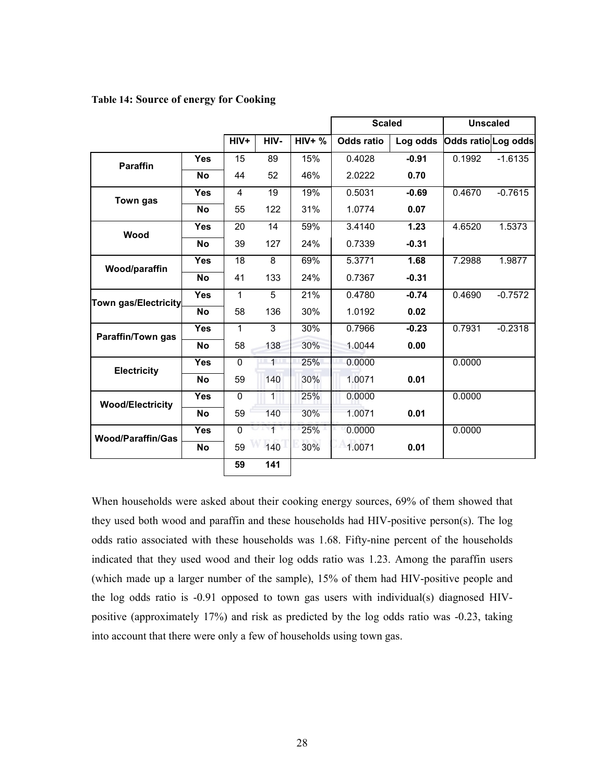|  |  |  |  |  | <b>Table 14: Source of energy for Cooking</b> |
|--|--|--|--|--|-----------------------------------------------|
|--|--|--|--|--|-----------------------------------------------|

|                             |            |                 |              |          | <b>Scaled</b>     |          | <b>Unscaled</b>    |           |
|-----------------------------|------------|-----------------|--------------|----------|-------------------|----------|--------------------|-----------|
|                             |            | HIV+            | HIV-         | $HIV+$ % | <b>Odds ratio</b> | Log odds | Odds ratioLog odds |           |
| <b>Paraffin</b>             | <b>Yes</b> | 15              | 89           | 15%      | 0.4028            | $-0.91$  | 0.1992             | $-1.6135$ |
|                             | <b>No</b>  | 44              | 52           | 46%      | 2.0222            | 0.70     |                    |           |
| Town gas                    | Yes        | 4               | 19           | 19%      | 0.5031            | $-0.69$  | 0.4670             | $-0.7615$ |
|                             | No         | 55              | 122          | 31%      | 1.0774            | 0.07     |                    |           |
| Wood                        | Yes        | 20              | 14           | 59%      | 3.4140            | 1.23     | 4.6520             | 1.5373    |
|                             | No         | 39              | 127          | 24%      | 0.7339            | $-0.31$  |                    |           |
| Wood/paraffin               | <b>Yes</b> | $\overline{18}$ | 8            | 69%      | 5.3771            | 1.68     | 7.2988             | 1.9877    |
|                             | <b>No</b>  | 41              | 133          | 24%      | 0.7367            | $-0.31$  |                    |           |
| <b>Town gas/Electricity</b> | <b>Yes</b> | 1               | 5            | 21%      | 0.4780            | $-0.74$  | 0.4690             | $-0.7572$ |
|                             | <b>No</b>  | 58              | 136          | 30%      | 1.0192            | 0.02     |                    |           |
| <b>Paraffin/Town gas</b>    | <b>Yes</b> | 1               | 3            | 30%      | 0.7966            | $-0.23$  | 0.7931             | $-0.2318$ |
|                             | <b>No</b>  | 58              | 138          | 30%      | 1.0044            | 0.00     |                    |           |
| <b>Electricity</b>          | <b>Yes</b> | 0               | $\mathbf{1}$ | 25%      | 0.0000            |          | 0.0000             |           |
|                             | <b>No</b>  | 59              | 140          | 30%      | 1.0071            | 0.01     |                    |           |
| <b>Wood/Electricity</b>     | <b>Yes</b> | 0               | 1            | 25%      | 0.0000            |          | 0.0000             |           |
|                             | <b>No</b>  | 59              | 140          | 30%      | 1.0071            | 0.01     |                    |           |
| <b>Wood/Paraffin/Gas</b>    | <b>Yes</b> | $\Omega$        | $\mathbf{1}$ | 25%      | 0.0000            |          | 0.0000             |           |
|                             | <b>No</b>  | 59              | 140          | 30%      | 1.0071            | 0.01     |                    |           |
|                             |            | 59              | 141          |          |                   |          |                    |           |

When households were asked about their cooking energy sources, 69% of them showed that they used both wood and paraffin and these households had HIV-positive person(s). The log odds ratio associated with these households was 1.68. Fifty-nine percent of the households indicated that they used wood and their log odds ratio was 1.23. Among the paraffin users (which made up a larger number of the sample), 15% of them had HIV-positive people and the log odds ratio is -0.91 opposed to town gas users with individual(s) diagnosed HIVpositive (approximately 17%) and risk as predicted by the log odds ratio was -0.23, taking into account that there were only a few of households using town gas.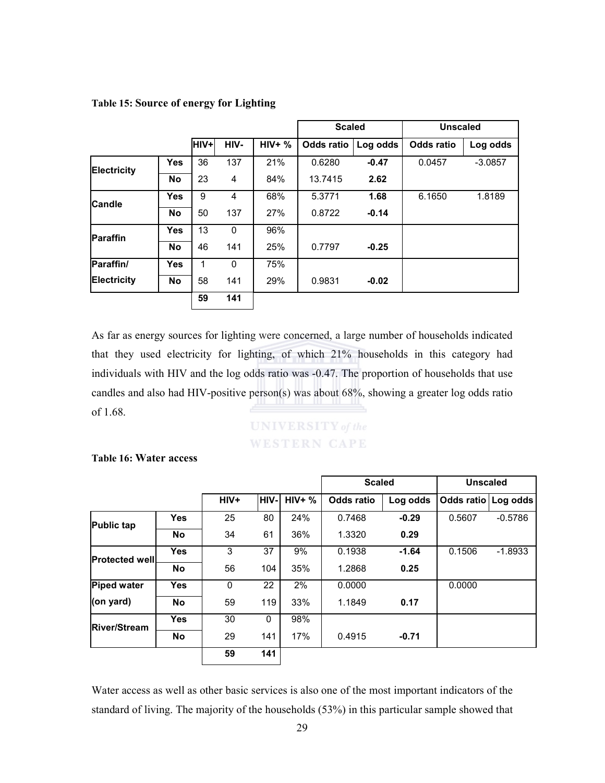|                    |            |             |      |          | <b>Scaled</b> |          | <b>Unscaled</b>   |           |
|--------------------|------------|-------------|------|----------|---------------|----------|-------------------|-----------|
|                    |            | <b>HIV+</b> | HIV- | $HIV+$ % | Odds ratio    | Log odds | <b>Odds ratio</b> | Log odds  |
| Electricity        | <b>Yes</b> | 36          | 137  | 21%      | 0.6280        | $-0.47$  | 0.0457            | $-3.0857$ |
|                    | <b>No</b>  | 23          | 4    | 84%      | 13.7415       | 2.62     |                   |           |
| <b>Candle</b>      | <b>Yes</b> | 9           | 4    | 68%      | 5.3771        | 1.68     | 6.1650            | 1.8189    |
|                    | <b>No</b>  | 50          | 137  | 27%      | 0.8722        | $-0.14$  |                   |           |
| <b>Paraffin</b>    | <b>Yes</b> | 13          | 0    | 96%      |               |          |                   |           |
|                    | <b>No</b>  | 46          | 141  | 25%      | 0.7797        | $-0.25$  |                   |           |
| Paraffin/          | <b>Yes</b> |             | 0    | 75%      |               |          |                   |           |
| <b>Electricity</b> | <b>No</b>  | 58          | 141  | 29%      | 0.9831        | $-0.02$  |                   |           |
|                    |            | 59          | 141  |          |               |          |                   |           |

#### Table 15: Source of energy for Lighting

As far as energy sources for lighting were concerned, a large number of households indicated that they used electricity for lighting, of which 21% households in this category had individuals with HIV and the log odds ratio was -0.47. The proportion of households that use candles and also had HIV-positive person(s) was about 68%, showing a greater log odds ratio of 1.68.

## **UNIVERSITY** of the **WESTERN CAPE**

Table 16: Water access

|                       |            |      |              |          | <b>Scaled</b>     |          | <b>Unscaled</b>       |           |  |
|-----------------------|------------|------|--------------|----------|-------------------|----------|-----------------------|-----------|--|
|                       |            | HIV+ | HIV-I        | $HIV+$ % | <b>Odds ratio</b> | Log odds | Odds ratio   Log odds |           |  |
| <b>Public tap</b>     | <b>Yes</b> | 25   | 80           | 24%      | 0.7468            | $-0.29$  | 0.5607                | $-0.5786$ |  |
|                       | <b>No</b>  | 34   | 61           | 36%      | 1.3320            | 0.29     |                       |           |  |
| <b>Protected well</b> | <b>Yes</b> | 3    | 37           | 9%       | 0.1938            | $-1.64$  | 0.1506                | $-1.8933$ |  |
|                       | <b>No</b>  | 56   | 104          | 35%      | 1.2868            | 0.25     |                       |           |  |
| <b>Piped water</b>    | Yes        | 0    | 22           | 2%       | 0.0000            |          | 0.0000                |           |  |
| (on yard)             | <b>No</b>  | 59   | 119          | 33%      | 1.1849            | 0.17     |                       |           |  |
| <b>River/Stream</b>   | <b>Yes</b> | 30   | $\mathbf{0}$ | 98%      |                   |          |                       |           |  |
|                       | <b>No</b>  | 29   | 141          | 17%      | 0.4915            | $-0.71$  |                       |           |  |
|                       |            | 59   | 141          |          |                   |          |                       |           |  |

Water access as well as other basic services is also one of the most important indicators of the standard of living. The majority of the households (53%) in this particular sample showed that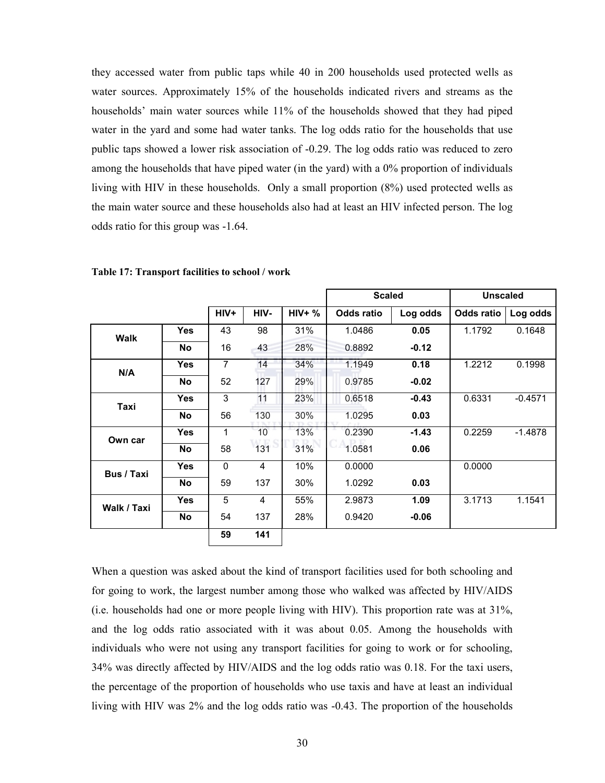they accessed water from public taps while 40 in 200 households used protected wells as water sources. Approximately 15% of the households indicated rivers and streams as the households' main water sources while 11% of the households showed that they had piped water in the yard and some had water tanks. The log odds ratio for the households that use public taps showed a lower risk association of -0.29. The log odds ratio was reduced to zero among the households that have piped water (in the yard) with a 0% proportion of individuals living with HIV in these households. Only a small proportion (8%) used protected wells as the main water source and these households also had at least an HIV infected person. The log odds ratio for this group was -1.64.

|                   |            |                |      |          | <b>Scaled</b>     |          | <b>Unscaled</b>   |           |
|-------------------|------------|----------------|------|----------|-------------------|----------|-------------------|-----------|
|                   |            | HIV+           | HIV- | $HIV+$ % | <b>Odds ratio</b> | Log odds | <b>Odds ratio</b> | Log odds  |
| <b>Walk</b>       | <b>Yes</b> | 43             | 98   | 31%      | 1.0486            | 0.05     | 1.1792            | 0.1648    |
|                   | <b>No</b>  | 16             | 43   | 28%      | 0.8892            | $-0.12$  |                   |           |
| N/A               | <b>Yes</b> | $\overline{7}$ | 14   | 34%      | 1.1949            | 0.18     | 1.2212            | 0.1998    |
|                   | <b>No</b>  | 52             | 127  | 29%      | 0.9785            | $-0.02$  |                   |           |
| Taxi              | Yes        | 3              | 11   | 23%      | 0.6518            | $-0.43$  | 0.6331            | $-0.4571$ |
|                   | <b>No</b>  | 56             | 130  | 30%      | 1.0295            | 0.03     |                   |           |
| Own car           | <b>Yes</b> | 1              | 10   | 13%      | 0.2390            | $-1.43$  | 0.2259            | $-1.4878$ |
|                   | No         | 58             | 131  | 31%      | 1.0581            | 0.06     |                   |           |
| <b>Bus / Taxi</b> | Yes        | $\mathbf{0}$   | 4    | 10%      | 0.0000            |          | 0.0000            |           |
|                   | <b>No</b>  | 59             | 137  | 30%      | 1.0292            | 0.03     |                   |           |
| Walk / Taxi       | <b>Yes</b> | 5              | 4    | 55%      | 2.9873            | 1.09     | 3.1713            | 1.1541    |
|                   | <b>No</b>  | 54             | 137  | 28%      | 0.9420            | $-0.06$  |                   |           |
|                   |            | 59             | 141  |          |                   |          |                   |           |

Table 17: Transport facilities to school / work

When a question was asked about the kind of transport facilities used for both schooling and for going to work, the largest number among those who walked was affected by HIV/AIDS (i.e. households had one or more people living with HIV). This proportion rate was at 31%, and the log odds ratio associated with it was about 0.05. Among the households with individuals who were not using any transport facilities for going to work or for schooling, 34% was directly affected by HIV/AIDS and the log odds ratio was 0.18. For the taxi users, the percentage of the proportion of households who use taxis and have at least an individual living with HIV was 2% and the log odds ratio was -0.43. The proportion of the households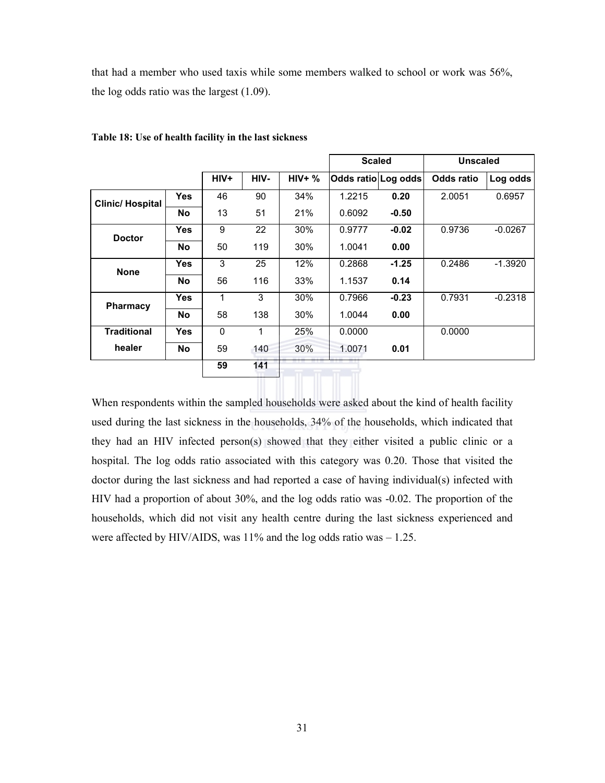that had a member who used taxis while some members walked to school or work was 56%, the log odds ratio was the largest (1.09).

|                        |            |      |      |          | <b>Scaled</b>       |         | <b>Unscaled</b>   |           |
|------------------------|------------|------|------|----------|---------------------|---------|-------------------|-----------|
|                        |            | HIV+ | HIV- | $HIV+$ % | Odds ratio Log odds |         | <b>Odds ratio</b> | Log odds  |
| <b>Clinic/Hospital</b> | Yes.       | 46   | 90   | 34%      | 1.2215              | 0.20    | 2.0051            | 0.6957    |
|                        | No         | 13   | 51   | 21%      | 0.6092              | $-0.50$ |                   |           |
| <b>Doctor</b>          | <b>Yes</b> | 9    | 22   | 30%      | 0.9777              | $-0.02$ | 0.9736            | $-0.0267$ |
|                        | <b>No</b>  | 50   | 119  | 30%      | 1.0041              | 0.00    |                   |           |
| <b>None</b>            | Yes        | 3    | 25   | 12%      | 0.2868              | $-1.25$ | 0.2486            | $-1.3920$ |
|                        | <b>No</b>  | 56   | 116  | 33%      | 1.1537              | 0.14    |                   |           |
| <b>Pharmacy</b>        | <b>Yes</b> | 1    | 3    | 30%      | 0.7966              | $-0.23$ | 0.7931            | $-0.2318$ |
|                        | <b>No</b>  | 58   | 138  | 30%      | 1.0044              | 0.00    |                   |           |
| <b>Traditional</b>     | <b>Yes</b> | 0    | 1    | 25%      | 0.0000              |         | 0.0000            |           |
| healer                 | <b>No</b>  | 59   | 140  | 30%      | 1.0071              | 0.01    |                   |           |
|                        |            | 59   | 141  |          |                     |         |                   |           |

Table 18: Use of health facility in the last sickness

When respondents within the sampled households were asked about the kind of health facility used during the last sickness in the households, 34% of the households, which indicated that they had an HIV infected person(s) showed that they either visited a public clinic or a hospital. The log odds ratio associated with this category was 0.20. Those that visited the doctor during the last sickness and had reported a case of having individual(s) infected with HIV had a proportion of about 30%, and the log odds ratio was -0.02. The proportion of the households, which did not visit any health centre during the last sickness experienced and were affected by HIV/AIDS, was 11% and the log odds ratio was  $-1.25$ .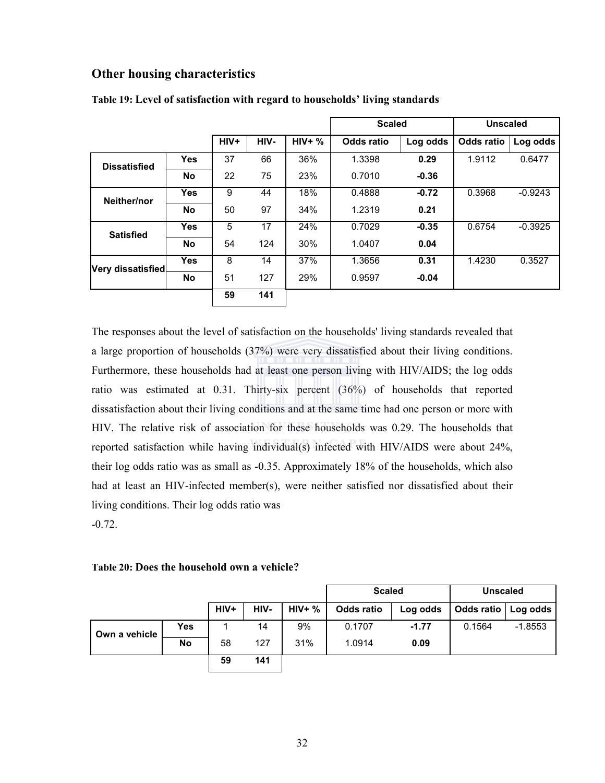### Other housing characteristics

|                     |            |      |      |          | <b>Scaled</b> |          | <b>Unscaled</b>   |           |
|---------------------|------------|------|------|----------|---------------|----------|-------------------|-----------|
|                     |            | HIV+ | HIV- | $HIV+$ % | Odds ratio    | Log odds | <b>Odds ratio</b> | Log odds  |
| <b>Dissatisfied</b> | Yes        | 37   | 66   | 36%      | 1.3398        | 0.29     | 1.9112            | 0.6477    |
|                     | <b>No</b>  | 22   | 75   | 23%      | 0.7010        | $-0.36$  |                   |           |
| Neither/nor         | Yes        | 9    | 44   | 18%      | 0.4888        | $-0.72$  | 0.3968            | $-0.9243$ |
|                     | <b>No</b>  | 50   | 97   | 34%      | 1.2319        | 0.21     |                   |           |
| <b>Satisfied</b>    | Yes        | 5    | 17   | 24%      | 0.7029        | $-0.35$  | 0.6754            | $-0.3925$ |
|                     | <b>No</b>  | 54   | 124  | 30%      | 1.0407        | 0.04     |                   |           |
| Very dissatisfied   | <b>Yes</b> | 8    | 14   | 37%      | 1.3656        | 0.31     | 1.4230            | 0.3527    |
|                     | <b>No</b>  | 51   | 127  | 29%      | 0.9597        | $-0.04$  |                   |           |
|                     |            | 59   | 141  |          |               |          |                   |           |

#### Table 19: Level of satisfaction with regard to households' living standards

The responses about the level of satisfaction on the households' living standards revealed that a large proportion of households (37%) were very dissatisfied about their living conditions. Furthermore, these households had at least one person living with HIV/AIDS; the log odds ratio was estimated at 0.31. Thirty-six percent (36%) of households that reported dissatisfaction about their living conditions and at the same time had one person or more with HIV. The relative risk of association for these households was 0.29. The households that reported satisfaction while having individual(s) infected with HIV/AIDS were about 24%, their log odds ratio was as small as -0.35. Approximately 18% of the households, which also had at least an HIV-infected member(s), were neither satisfied nor dissatisfied about their living conditions. Their log odds ratio was -0.72.

#### Table 20: Does the household own a vehicle?

|               |            |        |      |          | <b>Scaled</b> |          | <b>Unscaled</b>       |           |
|---------------|------------|--------|------|----------|---------------|----------|-----------------------|-----------|
|               |            | $HIV+$ | HIV- | $HIV+$ % | Odds ratio    | Log odds | Odds ratio   Log odds |           |
| Own a vehicle | <b>Yes</b> |        | 14   | 9%       | 0.1707        | $-1.77$  | 0.1564                | $-1.8553$ |
|               | <b>No</b>  | 58     | 127  | 31%      | 1.0914        | 0.09     |                       |           |
|               |            | 59     | 141  |          |               |          |                       |           |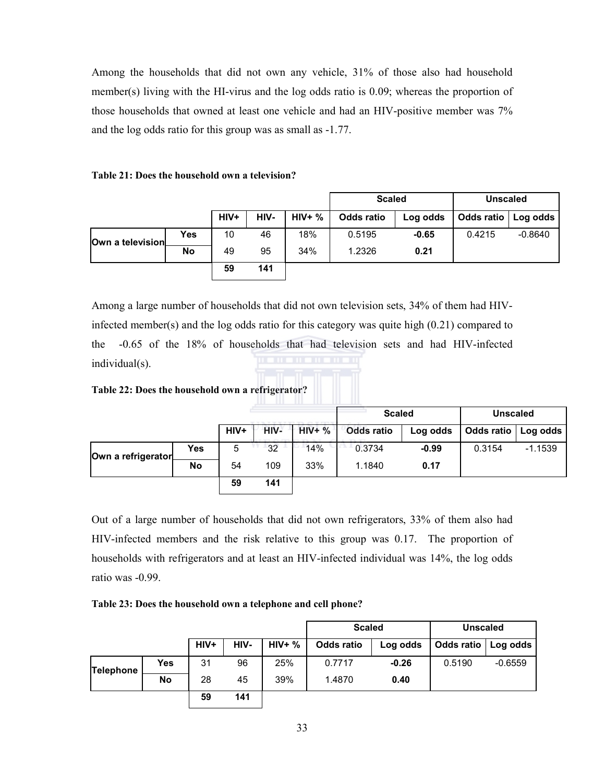Among the households that did not own any vehicle, 31% of those also had household member(s) living with the HI-virus and the log odds ratio is 0.09; whereas the proportion of those households that owned at least one vehicle and had an HIV-positive member was 7% and the log odds ratio for this group was as small as -1.77.

#### Table 21: Does the household own a television?

|                  |     |        |      |          | <b>Scaled</b> |          | <b>Unscaled</b>       |           |
|------------------|-----|--------|------|----------|---------------|----------|-----------------------|-----------|
|                  |     | $HIV+$ | HIV- | $HIV+$ % | Odds ratio    | Log odds | Odds ratio   Log odds |           |
| Own a television | Yes | 10     | 46   | 18%      | 0.5195        | $-0.65$  | 0.4215                | $-0.8640$ |
|                  | No  | 49     | 95   | 34%      | 1.2326        | 0.21     |                       |           |
|                  |     | 59     | 141  |          |               |          |                       |           |

Among a large number of households that did not own television sets, 34% of them had HIVinfected member(s) and the log odds ratio for this category was quite high (0.21) compared to the -0.65 of the 18% of households that had television sets and had HIV-infected individual(s).

#### Table 22: Does the household own a refrigerator?

|                    |           |      |      |          | <b>Scaled</b>     |          | <b>Unscaled</b> |           |
|--------------------|-----------|------|------|----------|-------------------|----------|-----------------|-----------|
|                    |           | HIV+ | HIV- | $HIV+$ % | <b>Odds ratio</b> | Log odds | Odds ratio      | Log odds  |
| Own a refrigerator | Yes       | 5    | 32   | 14%      | 0.3734            | $-0.99$  | 0.3154          | $-1.1539$ |
|                    | <b>No</b> | 54   | 109  | 33%      | 1.1840            | 0.17     |                 |           |
|                    |           | 59   | 141  |          |                   |          |                 |           |

Out of a large number of households that did not own refrigerators, 33% of them also had HIV-infected members and the risk relative to this group was 0.17. The proportion of households with refrigerators and at least an HIV-infected individual was 14%, the log odds ratio was -0.99.

Table 23: Does the household own a telephone and cell phone?

|                  |           |      |      |               | <b>Scaled</b>     |          | <b>Unscaled</b> |           |  |
|------------------|-----------|------|------|---------------|-------------------|----------|-----------------|-----------|--|
|                  |           | HIV+ | HIV- | <b>HIV+ %</b> | <b>Odds ratio</b> | Log odds | Odds ratio      | Log odds  |  |
| <b>Telephone</b> | Yes       | 31   | 96   | 25%           | 0.7717            | $-0.26$  | 0.5190          | $-0.6559$ |  |
|                  | <b>No</b> | 28   | 45   | 39%           | 1.4870            | 0.40     |                 |           |  |
|                  |           | 59   | 141  |               |                   |          |                 |           |  |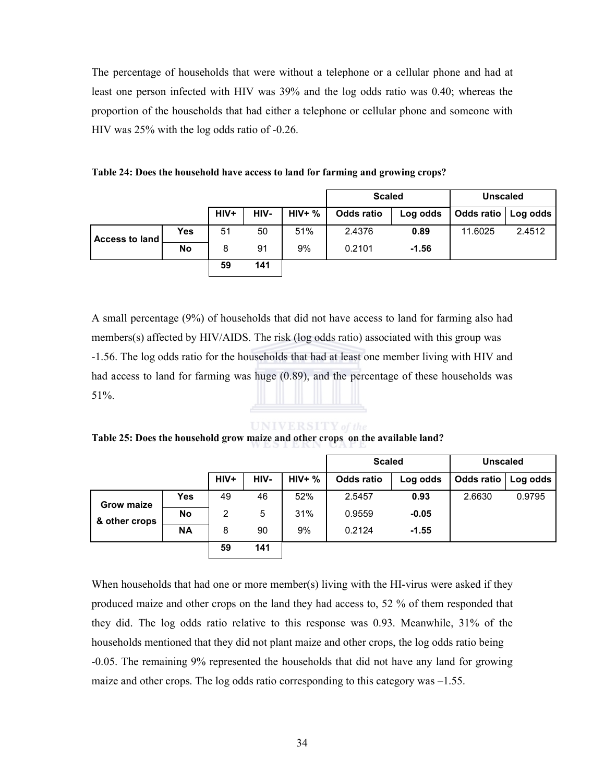The percentage of households that were without a telephone or a cellular phone and had at least one person infected with HIV was 39% and the log odds ratio was 0.40; whereas the proportion of the households that had either a telephone or cellular phone and someone with HIV was 25% with the log odds ratio of -0.26.

| Table 24: Does the household have access to land for farming and growing crops? |  |
|---------------------------------------------------------------------------------|--|
|---------------------------------------------------------------------------------|--|

|                       |           |      |      |               | <b>Scaled</b> |          | <b>Unscaled</b>       |        |
|-----------------------|-----------|------|------|---------------|---------------|----------|-----------------------|--------|
|                       |           | HIV+ | HIV- | <b>HIV+ %</b> | Odds ratio    | Log odds | Odds ratio   Log odds |        |
| <b>Access to land</b> | Yes       | 51   | 50   | 51%           | 2.4376        | 0.89     | 11.6025               | 2.4512 |
|                       | <b>No</b> | 8    | 91   | 9%            | 0.2101        | $-1.56$  |                       |        |
|                       |           | 59   | 141  |               |               |          |                       |        |

A small percentage (9%) of households that did not have access to land for farming also had members(s) affected by HIV/AIDS. The risk (log odds ratio) associated with this group was -1.56. The log odds ratio for the households that had at least one member living with HIV and had access to land for farming was huge (0.89), and the percentage of these households was 51%.

#### **UNIVERSITY** of the

Table 25: Does the household grow maize and other crops on the available land?

|                   |           |      |      |          | <b>Scaled</b>     |          | <b>Unscaled</b> |          |
|-------------------|-----------|------|------|----------|-------------------|----------|-----------------|----------|
|                   |           | HIV+ | HIV- | $HIV+$ % | <b>Odds ratio</b> | Log odds | Odds ratio      | Log odds |
| <b>Grow maize</b> | Yes       | 49   | 46   | 52%      | 2.5457            | 0.93     | 2.6630          | 0.9795   |
| & other crops     | <b>No</b> | 2    | 5    | 31%      | 0.9559            | $-0.05$  |                 |          |
|                   | <b>NA</b> | 8    | 90   | 9%       | 0.2124            | $-1.55$  |                 |          |
|                   |           | 59   | 141  |          |                   |          |                 |          |

When households that had one or more member(s) living with the HI-virus were asked if they produced maize and other crops on the land they had access to, 52 % of them responded that they did. The log odds ratio relative to this response was 0.93. Meanwhile, 31% of the households mentioned that they did not plant maize and other crops, the log odds ratio being -0.05. The remaining 9% represented the households that did not have any land for growing maize and other crops. The log odds ratio corresponding to this category was  $-1.55$ .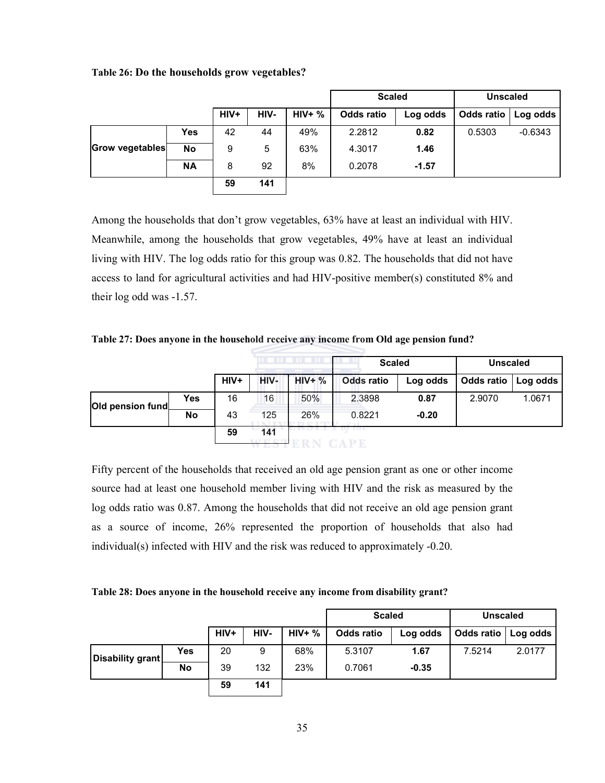|  |  | Table 26: Do the households grow vegetables? |
|--|--|----------------------------------------------|
|--|--|----------------------------------------------|

|                 |           |      |      |          | <b>Scaled</b>     |          | <b>Unscaled</b>       |           |
|-----------------|-----------|------|------|----------|-------------------|----------|-----------------------|-----------|
|                 |           | HIV+ | HIV- | $HIV+$ % | <b>Odds ratio</b> | Log odds | Odds ratio   Log odds |           |
|                 | Yes       | 42   | 44   | 49%      | 2.2812            | 0.82     | 0.5303                | $-0.6343$ |
| Grow vegetables | <b>No</b> | 9    | 5    | 63%      | 4.3017            | 1.46     |                       |           |
|                 | <b>NA</b> | 8    | 92   | 8%       | 0.2078            | $-1.57$  |                       |           |
|                 |           | 59   | 141  |          |                   |          |                       |           |

Among the households that don't grow vegetables, 63% have at least an individual with HIV. Meanwhile, among the households that grow vegetables, 49% have at least an individual living with HIV. The log odds ratio for this group was 0.82. The households that did not have access to land for agricultural activities and had HIV-positive member(s) constituted 8% and their log odd was -1.57.

Table 27: Does anyone in the household receive any income from Old age pension fund?

|                  |            |      | <b>.</b>                  |          | <b>Scaled</b>     |          | <b>Unscaled</b> |          |
|------------------|------------|------|---------------------------|----------|-------------------|----------|-----------------|----------|
|                  |            | HIV+ | HIV-                      | $HIV+$ % | <b>Odds ratio</b> | Log odds | Odds ratio      | Log odds |
| Old pension fund | <b>Yes</b> | 16   | 16                        | 50%      | 2.3898            | 0.87     | 2.9070          | 1.0671   |
|                  | <b>No</b>  | 43   | 125                       | 26%      | 0.8221            | $-0.20$  |                 |          |
|                  |            | 59   | 141<br><b>WAY TO COPY</b> |          | <b>LILO</b>       |          |                 |          |

Fifty percent of the households that received an old age pension grant as one or other income source had at least one household member living with HIV and the risk as measured by the log odds ratio was 0.87. Among the households that did not receive an old age pension grant as a source of income, 26% represented the proportion of households that also had individual(s) infected with HIV and the risk was reduced to approximately -0.20.

|  | Table 28: Does anyone in the household receive any income from disability grant? |
|--|----------------------------------------------------------------------------------|
|  |                                                                                  |

|                  |            |      |      |          | <b>Scaled</b> |          | <b>Unscaled</b>       |        |  |
|------------------|------------|------|------|----------|---------------|----------|-----------------------|--------|--|
|                  |            | HIV+ | HIV- | $HIV+$ % | Odds ratio    | Log odds | Odds ratio   Log odds |        |  |
| Disability grant | <b>Yes</b> | 20   | 9    | 68%      | 5.3107        | 1.67     | 7.5214                | 2.0177 |  |
|                  | <b>No</b>  | 39   | 132  | 23%      | 0.7061        | $-0.35$  |                       |        |  |
|                  |            | 59   | 141  |          |               |          |                       |        |  |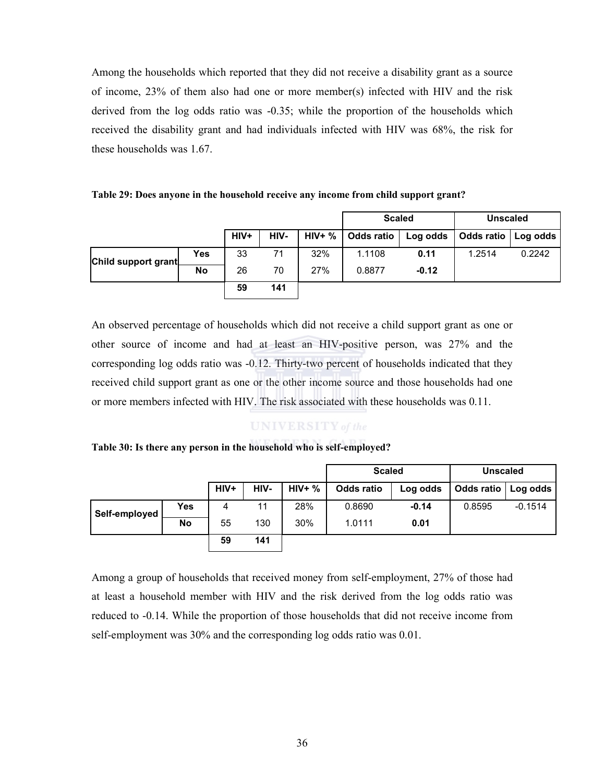Among the households which reported that they did not receive a disability grant as a source of income, 23% of them also had one or more member(s) infected with HIV and the risk derived from the log odds ratio was -0.35; while the proportion of the households which received the disability grant and had individuals infected with HIV was 68%, the risk for these households was 1.67.

Table 29: Does anyone in the household receive any income from child support grant?

|                     |           |      |      |           | <b>Scaled</b>     |          | <b>Unscaled</b> |          |
|---------------------|-----------|------|------|-----------|-------------------|----------|-----------------|----------|
|                     |           | HIV+ | HIV- | $HIV+ \%$ | <b>Odds ratio</b> | Log odds | Odds ratio      | Log odds |
| Child support grant | Yes       | 33   | 71   | 32%       | 1.1108            | 0.11     | 1.2514          | 0.2242   |
|                     | <b>No</b> | 26   | 70   | 27%       | 0.8877            | $-0.12$  |                 |          |
|                     |           | 59   | 141  |           |                   |          |                 |          |

An observed percentage of households which did not receive a child support grant as one or other source of income and had at least an HIV-positive person, was 27% and the corresponding log odds ratio was -0.12. Thirty-two percent of households indicated that they received child support grant as one or the other income source and those households had one or more members infected with HIV. The risk associated with these households was 0.11.

### **UNIVERSITY** of the

#### Table 30: Is there any person in the household who is self-employed?

|               |            |        |      |          | <b>Scaled</b> |          | <b>Unscaled</b>       |           |
|---------------|------------|--------|------|----------|---------------|----------|-----------------------|-----------|
|               |            | $HIV+$ | HIV- | $HIV+$ % | Odds ratio    | Log odds | Odds ratio   Log odds |           |
| Self-employed | <b>Yes</b> | 4      | 11   | 28%      | 0.8690        | $-0.14$  | 0.8595                | $-0.1514$ |
|               | <b>No</b>  | 55     | 130  | 30%      | 1.0111        | 0.01     |                       |           |
|               |            | 59     | 141  |          |               |          |                       |           |

Among a group of households that received money from self-employment, 27% of those had at least a household member with HIV and the risk derived from the log odds ratio was reduced to -0.14. While the proportion of those households that did not receive income from self-employment was 30% and the corresponding log odds ratio was 0.01.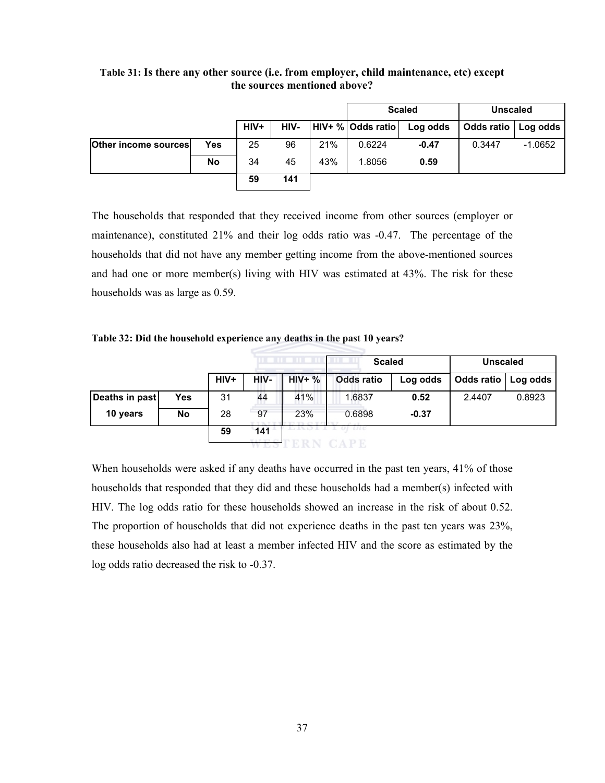|                      |            |        |      |     | <b>Scaled</b>     |          | <b>Unscaled</b>       |           |
|----------------------|------------|--------|------|-----|-------------------|----------|-----------------------|-----------|
|                      |            | $HIV+$ | HIV- |     | HIV+ % Odds ratio | Log odds | Odds ratio   Log odds |           |
| Other income sources | <b>Yes</b> | 25     | 96   | 21% | 0.6224            | $-0.47$  | 0.3447                | $-1.0652$ |
|                      | <b>No</b>  | 34     | 45   | 43% | 1.8056            | 0.59     |                       |           |
|                      |            | 59     | 141  |     |                   |          |                       |           |

Table 31: Is there any other source (i.e. from employer, child maintenance, etc) except the sources mentioned above?

The households that responded that they received income from other sources (employer or maintenance), constituted 21% and their log odds ratio was -0.47. The percentage of the households that did not have any member getting income from the above-mentioned sources and had one or more member(s) living with HIV was estimated at 43%. The risk for these households was as large as 0.59.

Table 32: Did the household experience any deaths in the past 10 years?

|                |           | .    |                         |            | <b>Scaled</b> |          | <b>Unscaled</b>   |          |
|----------------|-----------|------|-------------------------|------------|---------------|----------|-------------------|----------|
|                |           | HIV+ | HIV-                    | $HIV+$ %   | Odds ratio    | Log odds | <b>Odds ratio</b> | Log odds |
| Deaths in past | Yes       | 31   | 44                      | 41%        | 1.6837        | 0.52     | 2.4407            | 0.8923   |
| 10 years       | <b>No</b> | 28   | 97                      | 23%        | 0.6898        | $-0.37$  |                   |          |
|                |           | 59   | 141<br><b>WAY THEFT</b> | 4 IN 17 J. | une           |          |                   |          |

When households were asked if any deaths have occurred in the past ten years, 41% of those households that responded that they did and these households had a member(s) infected with HIV. The log odds ratio for these households showed an increase in the risk of about 0.52. The proportion of households that did not experience deaths in the past ten years was 23%, these households also had at least a member infected HIV and the score as estimated by the log odds ratio decreased the risk to -0.37.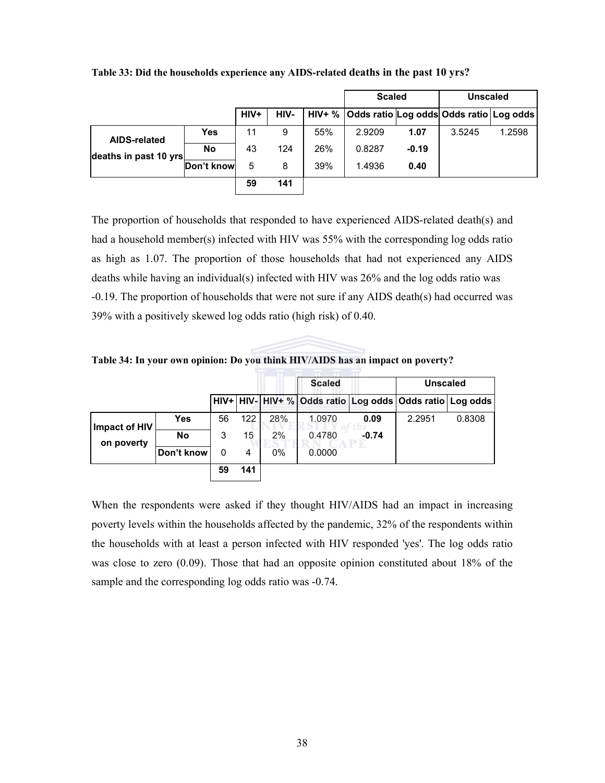|                                              |            |      |      |     | <b>Scaled</b>                                        |         | <b>Unscaled</b> |        |
|----------------------------------------------|------------|------|------|-----|------------------------------------------------------|---------|-----------------|--------|
|                                              |            | HIV+ | HIV- |     | HIV+ %   Odds ratio Log odds   Odds ratio   Log odds |         |                 |        |
| <b>AIDS-related</b><br>deaths in past 10 yrs | Yes        | 11   | 9    | 55% | 2.9209                                               | 1.07    | 3.5245          | 1.2598 |
|                                              | <b>No</b>  | 43   | 124  | 26% | 0.8287                                               | $-0.19$ |                 |        |
|                                              | Don't know | 5    | 8    | 39% | 1.4936                                               | 0.40    |                 |        |
|                                              |            | 59   | 141  |     |                                                      |         |                 |        |

Table 33: Did the households experience any AIDS-related deaths in the past 10 yrs?

The proportion of households that responded to have experienced AIDS-related death(s) and had a household member(s) infected with HIV was 55% with the corresponding log odds ratio as high as 1.07. The proportion of those households that had not experienced any AIDS deaths while having an individual(s) infected with HIV was 26% and the log odds ratio was -0.19. The proportion of households that were not sure if any AIDS death(s) had occurred was 39% with a positively skewed log odds ratio (high risk) of 0.40.

Table 34: In your own opinion: Do you think HIV/AIDS has an impact on poverty?

|                             |            |    |     |     | <b>Scaled</b>                                                |         | <b>Unscaled</b> |        |
|-----------------------------|------------|----|-----|-----|--------------------------------------------------------------|---------|-----------------|--------|
|                             |            |    |     |     | HIV+ HIV- HIV+ % Odds ratio Log odds   Odds ratio   Log odds |         |                 |        |
| Impact of HIV<br>on poverty | <b>Yes</b> | 56 | 122 | 28% | 1.0970                                                       | 0.09    | 2.2951          | 0.8308 |
|                             | No         | 3  | 15  | 2%  | 0.4780                                                       | $-0.74$ |                 |        |
|                             | Don't know | 0  | 4   | 0%  | 0.0000                                                       |         |                 |        |
|                             |            | 59 | 141 |     |                                                              |         |                 |        |

When the respondents were asked if they thought HIV/AIDS had an impact in increasing poverty levels within the households affected by the pandemic, 32% of the respondents within the households with at least a person infected with HIV responded 'yes'. The log odds ratio was close to zero (0.09). Those that had an opposite opinion constituted about 18% of the sample and the corresponding log odds ratio was -0.74.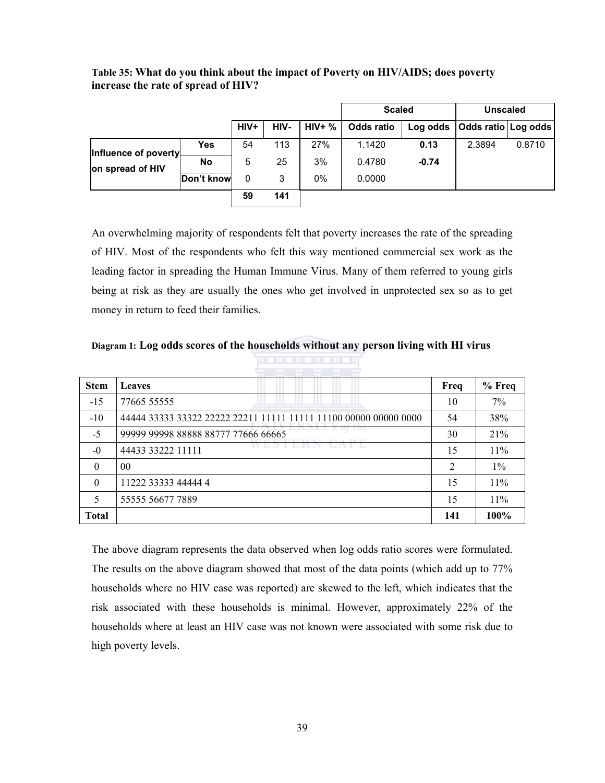|                                          |            |        |      |          | <b>Scaled</b> |          | <b>Unscaled</b>     |        |
|------------------------------------------|------------|--------|------|----------|---------------|----------|---------------------|--------|
|                                          |            | $HIV+$ | HIV- | $HIV+$ % | Odds ratio    | Log odds | Odds ratio Log odds |        |
| Influence of poverty<br>on spread of HIV | Yes        | 54     | 113  | 27%      | 1.1420        | 0.13     | 2.3894              | 0.8710 |
|                                          | <b>No</b>  | 5      | 25   | 3%       | 0.4780        | $-0.74$  |                     |        |
|                                          | Don't know | 0      | 3    | 0%       | 0.0000        |          |                     |        |
|                                          |            | 59     | 141  |          |               |          |                     |        |

Table 35: What do you think about the impact of Poverty on HIV/AIDS; does poverty increase the rate of spread of HIV?

An overwhelming majority of respondents felt that poverty increases the rate of the spreading of HIV. Most of the respondents who felt this way mentioned commercial sex work as the leading factor in spreading the Human Immune Virus. Many of them referred to young girls being at risk as they are usually the ones who get involved in unprotected sex so as to get money in return to feed their families.

| Diagram 1: Log odds scores of the households without any person living with HI virus |  |  |
|--------------------------------------------------------------------------------------|--|--|
|--------------------------------------------------------------------------------------|--|--|

| <b>Stem</b>  | Leaves                                                           | Freq           | % Freq |
|--------------|------------------------------------------------------------------|----------------|--------|
| $-15$        | 77665 55555                                                      | 10             | 7%     |
| $-10$        | 44444 33333 33322 22222 22211 11111 11111 11100 00000 00000 0000 | 54             | 38%    |
| $-5$         | 99999 99998 88888 88777 77666 66665                              | 30             | 21%    |
| $-0$         | WESTERN<br>ua fil<br>44433 33222 11111                           | 15             | 11%    |
| $\theta$     | 0 <sub>0</sub>                                                   | $\overline{2}$ | $1\%$  |
| $\Omega$     | 11222 33333 44444 4                                              | 15             | $11\%$ |
| 5            | 55555 56677 7889                                                 | 15             | $11\%$ |
| <b>Total</b> |                                                                  | 141            | 100%   |

The above diagram represents the data observed when log odds ratio scores were formulated. The results on the above diagram showed that most of the data points (which add up to 77% households where no HIV case was reported) are skewed to the left, which indicates that the risk associated with these households is minimal. However, approximately 22% of the households where at least an HIV case was not known were associated with some risk due to high poverty levels.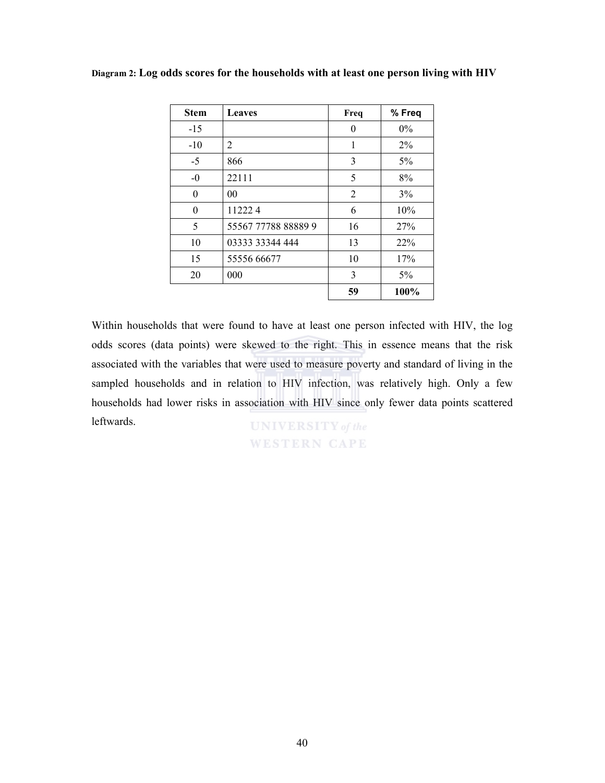| <b>Stem</b> | <b>Leaves</b>       | Freq           | % Freq |
|-------------|---------------------|----------------|--------|
| $-15$       |                     | $\theta$       | $0\%$  |
| $-10$       | $\overline{2}$      | 1              | $2\%$  |
| $-5$        | 866                 | 3              | 5%     |
| $-0$        | 22111               | 5              | 8%     |
| 0           | 00                  | $\overline{2}$ | 3%     |
| $\theta$    | 112224              | 6              | 10%    |
| 5           | 55567 77788 88889 9 | 16             | 27%    |
| 10          | 03333 33344 444     | 13             | 22%    |
| 15          | 55556 66677         | 10             | 17%    |
| 20          | 000                 | 3              | 5%     |
|             |                     | 59             | 100%   |

Diagram 2: Log odds scores for the households with at least one person living with HIV

Within households that were found to have at least one person infected with HIV, the log odds scores (data points) were skewed to the right. This in essence means that the risk associated with the variables that were used to measure poverty and standard of living in the sampled households and in relation to HIV infection, was relatively high. Only a few households had lower risks in association with HIV since only fewer data points scattered leftwards.**UNIVERSITY** of the

**WESTERN CAPE**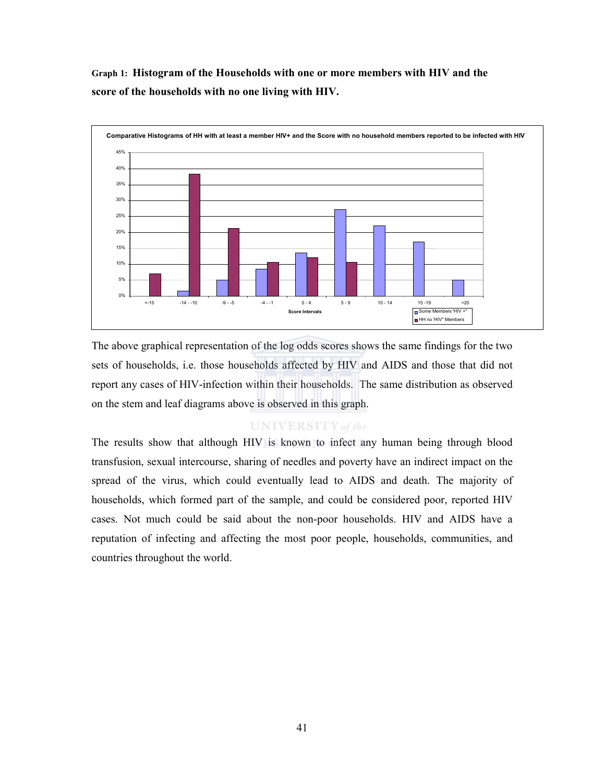Graph 1: Histogram of the Households with one or more members with HIV and the score of the households with no one living with HIV.



The above graphical representation of the log odds scores shows the same findings for the two sets of households, i.e. those households affected by HIV and AIDS and those that did not report any cases of HIV-infection within their households. The same distribution as observed on the stem and leaf diagrams above is observed in this graph.

#### **UNIVERSITY** of the

The results show that although HIV is known to infect any human being through blood transfusion, sexual intercourse, sharing of needles and poverty have an indirect impact on the spread of the virus, which could eventually lead to AIDS and death. The majority of households, which formed part of the sample, and could be considered poor, reported HIV cases. Not much could be said about the non-poor households. HIV and AIDS have a reputation of infecting and affecting the most poor people, households, communities, and countries throughout the world.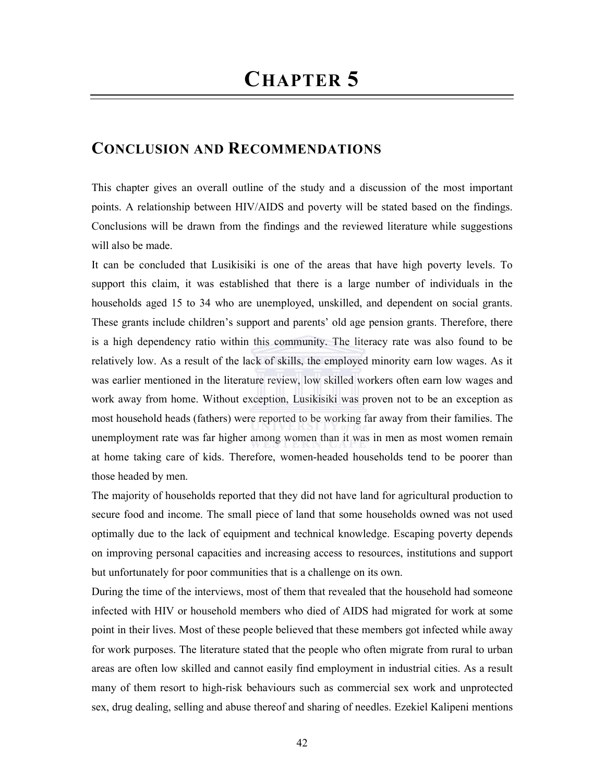## CONCLUSION AND RECOMMENDATIONS

This chapter gives an overall outline of the study and a discussion of the most important points. A relationship between HIV/AIDS and poverty will be stated based on the findings. Conclusions will be drawn from the findings and the reviewed literature while suggestions will also be made.

It can be concluded that Lusikisiki is one of the areas that have high poverty levels. To support this claim, it was established that there is a large number of individuals in the households aged 15 to 34 who are unemployed, unskilled, and dependent on social grants. These grants include children's support and parents' old age pension grants. Therefore, there is a high dependency ratio within this community. The literacy rate was also found to be relatively low. As a result of the lack of skills, the employed minority earn low wages. As it was earlier mentioned in the literature review, low skilled workers often earn low wages and work away from home. Without exception, Lusikisiki was proven not to be an exception as most household heads (fathers) were reported to be working far away from their families. The unemployment rate was far higher among women than it was in men as most women remain at home taking care of kids. Therefore, women-headed households tend to be poorer than those headed by men.

The majority of households reported that they did not have land for agricultural production to secure food and income. The small piece of land that some households owned was not used optimally due to the lack of equipment and technical knowledge. Escaping poverty depends on improving personal capacities and increasing access to resources, institutions and support but unfortunately for poor communities that is a challenge on its own.

During the time of the interviews, most of them that revealed that the household had someone infected with HIV or household members who died of AIDS had migrated for work at some point in their lives. Most of these people believed that these members got infected while away for work purposes. The literature stated that the people who often migrate from rural to urban areas are often low skilled and cannot easily find employment in industrial cities. As a result many of them resort to high-risk behaviours such as commercial sex work and unprotected sex, drug dealing, selling and abuse thereof and sharing of needles. Ezekiel Kalipeni mentions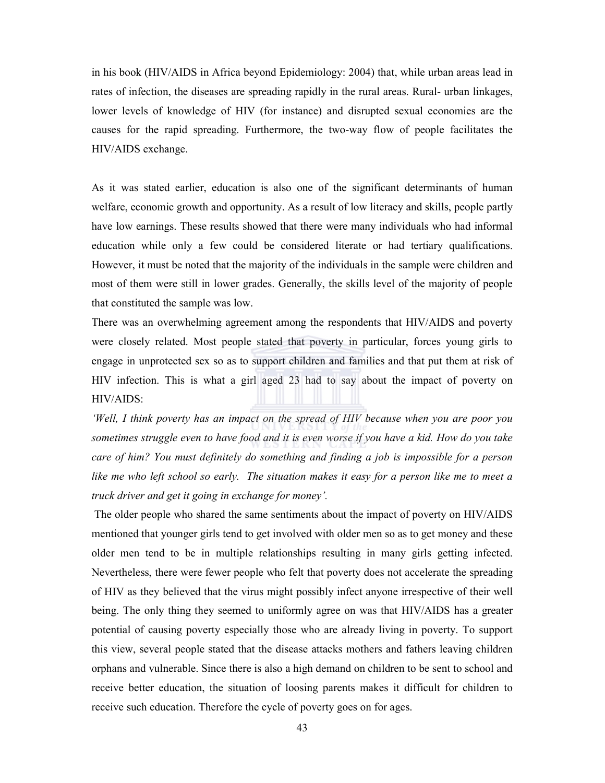in his book (HIV/AIDS in Africa beyond Epidemiology: 2004) that, while urban areas lead in rates of infection, the diseases are spreading rapidly in the rural areas. Rural- urban linkages, lower levels of knowledge of HIV (for instance) and disrupted sexual economies are the causes for the rapid spreading. Furthermore, the two-way flow of people facilitates the HIV/AIDS exchange.

As it was stated earlier, education is also one of the significant determinants of human welfare, economic growth and opportunity. As a result of low literacy and skills, people partly have low earnings. These results showed that there were many individuals who had informal education while only a few could be considered literate or had tertiary qualifications. However, it must be noted that the majority of the individuals in the sample were children and most of them were still in lower grades. Generally, the skills level of the majority of people that constituted the sample was low.

There was an overwhelming agreement among the respondents that HIV/AIDS and poverty were closely related. Most people stated that poverty in particular, forces young girls to engage in unprotected sex so as to support children and families and that put them at risk of HIV infection. This is what a girl aged 23 had to say about the impact of poverty on HIV/AIDS:

'Well, I think poverty has an impact on the spread of HIV because when you are poor you sometimes struggle even to have food and it is even worse if you have a kid. How do you take care of him? You must definitely do something and finding a job is impossible for a person like me who left school so early. The situation makes it easy for a person like me to meet a truck driver and get it going in exchange for money'.

The older people who shared the same sentiments about the impact of poverty on HIV/AIDS mentioned that younger girls tend to get involved with older men so as to get money and these older men tend to be in multiple relationships resulting in many girls getting infected. Nevertheless, there were fewer people who felt that poverty does not accelerate the spreading of HIV as they believed that the virus might possibly infect anyone irrespective of their well being. The only thing they seemed to uniformly agree on was that HIV/AIDS has a greater potential of causing poverty especially those who are already living in poverty. To support this view, several people stated that the disease attacks mothers and fathers leaving children orphans and vulnerable. Since there is also a high demand on children to be sent to school and receive better education, the situation of loosing parents makes it difficult for children to receive such education. Therefore the cycle of poverty goes on for ages.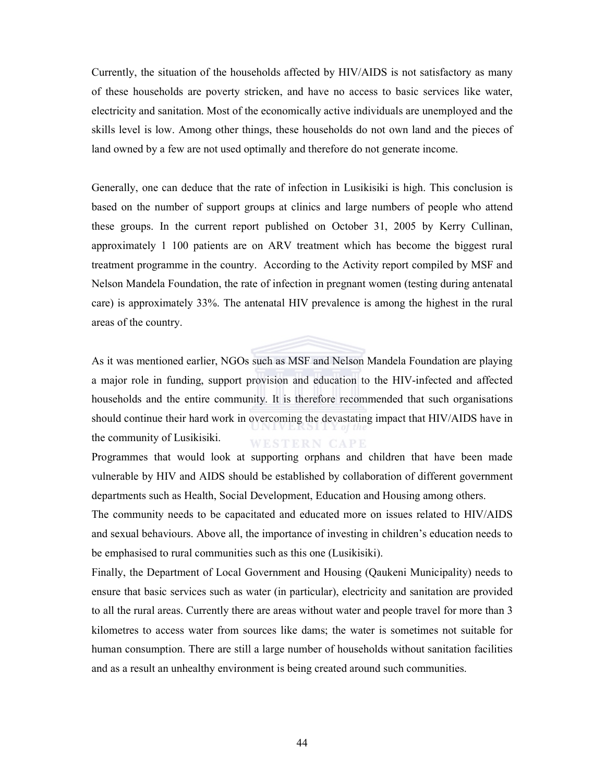Currently, the situation of the households affected by HIV/AIDS is not satisfactory as many of these households are poverty stricken, and have no access to basic services like water, electricity and sanitation. Most of the economically active individuals are unemployed and the skills level is low. Among other things, these households do not own land and the pieces of land owned by a few are not used optimally and therefore do not generate income.

Generally, one can deduce that the rate of infection in Lusikisiki is high. This conclusion is based on the number of support groups at clinics and large numbers of people who attend these groups. In the current report published on October 31, 2005 by Kerry Cullinan, approximately 1 100 patients are on ARV treatment which has become the biggest rural treatment programme in the country. According to the Activity report compiled by MSF and Nelson Mandela Foundation, the rate of infection in pregnant women (testing during antenatal care) is approximately 33%. The antenatal HIV prevalence is among the highest in the rural areas of the country.

As it was mentioned earlier, NGOs such as MSF and Nelson Mandela Foundation are playing a major role in funding, support provision and education to the HIV-infected and affected households and the entire community. It is therefore recommended that such organisations should continue their hard work in overcoming the devastating impact that HIV/AIDS have in the community of Lusikisiki. **WESTERN CAPE** 

Programmes that would look at supporting orphans and children that have been made vulnerable by HIV and AIDS should be established by collaboration of different government departments such as Health, Social Development, Education and Housing among others.

The community needs to be capacitated and educated more on issues related to HIV/AIDS and sexual behaviours. Above all, the importance of investing in children's education needs to be emphasised to rural communities such as this one (Lusikisiki).

Finally, the Department of Local Government and Housing (Qaukeni Municipality) needs to ensure that basic services such as water (in particular), electricity and sanitation are provided to all the rural areas. Currently there are areas without water and people travel for more than 3 kilometres to access water from sources like dams; the water is sometimes not suitable for human consumption. There are still a large number of households without sanitation facilities and as a result an unhealthy environment is being created around such communities.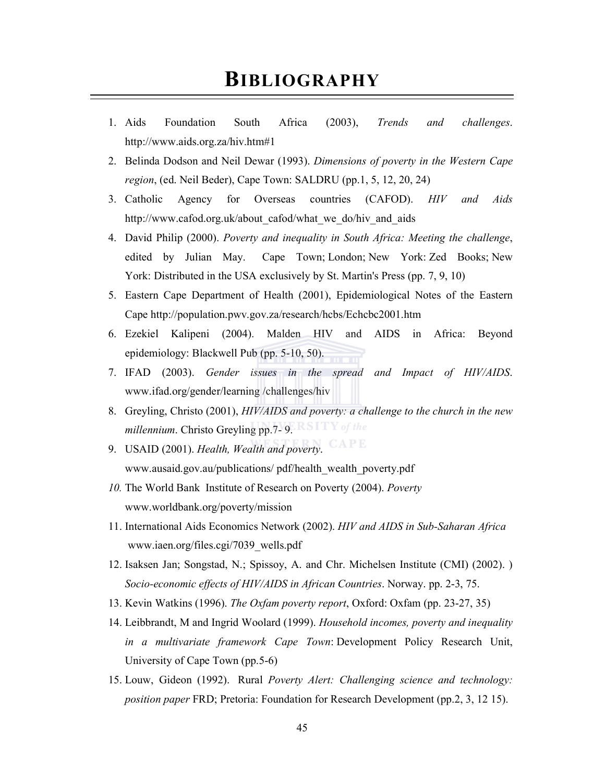## BIBLIOGRAPHY

- 1. Aids Foundation South Africa (2003), Trends and challenges. http://www.aids.org.za/hiv.htm#1
- 2. Belinda Dodson and Neil Dewar (1993). Dimensions of poverty in the Western Cape region, (ed. Neil Beder), Cape Town: SALDRU (pp.1, 5, 12, 20, 24)
- 3. Catholic Agency for Overseas countries (CAFOD). HIV and Aids http://www.cafod.org.uk/about\_cafod/what\_we\_do/hiv\_and\_aids
- 4. David Philip (2000). Poverty and inequality in South Africa: Meeting the challenge, edited by Julian May. Cape Town; London; New York: Zed Books; New York: Distributed in the USA exclusively by St. Martin's Press (pp. 7, 9, 10)
- 5. Eastern Cape Department of Health (2001), Epidemiological Notes of the Eastern Cape http://population.pwv.gov.za/research/hcbs/Echcbc2001.htm
- 6. Ezekiel Kalipeni (2004). Malden HIV and AIDS in Africa: Beyond epidemiology: Blackwell Pub (pp. 5-10, 50).
- 7. IFAD (2003). Gender issues in the spread and Impact of HIV/AIDS. www.ifad.org/gender/learning /challenges/hiv
- 8. Greyling, Christo (2001), HIV/AIDS and poverty: a challenge to the church in the new millennium. Christo Greyling pp.7- 9.
- 9. USAID (2001). Health, Wealth and poverty. www.ausaid.gov.au/publications/ pdf/health\_wealth\_poverty.pdf
- 10. The World Bank Institute of Research on Poverty (2004). Poverty www.worldbank.org/poverty/mission
- 11. International Aids Economics Network (2002). HIV and AIDS in Sub-Saharan Africa www.iaen.org/files.cgi/7039\_wells.pdf
- 12. Isaksen Jan; Songstad, N.; Spissoy, A. and Chr. Michelsen Institute (CMI) (2002). ) Socio-economic effects of HIV/AIDS in African Countries. Norway. pp. 2-3, 75.
- 13. Kevin Watkins (1996). The Oxfam poverty report, Oxford: Oxfam (pp. 23-27, 35)
- 14. Leibbrandt, M and Ingrid Woolard (1999). Household incomes, poverty and inequality in a multivariate framework Cape Town: Development Policy Research Unit, University of Cape Town (pp.5-6)
- 15. Louw, Gideon (1992). Rural Poverty Alert: Challenging science and technology: position paper FRD; Pretoria: Foundation for Research Development (pp.2, 3, 12 15).